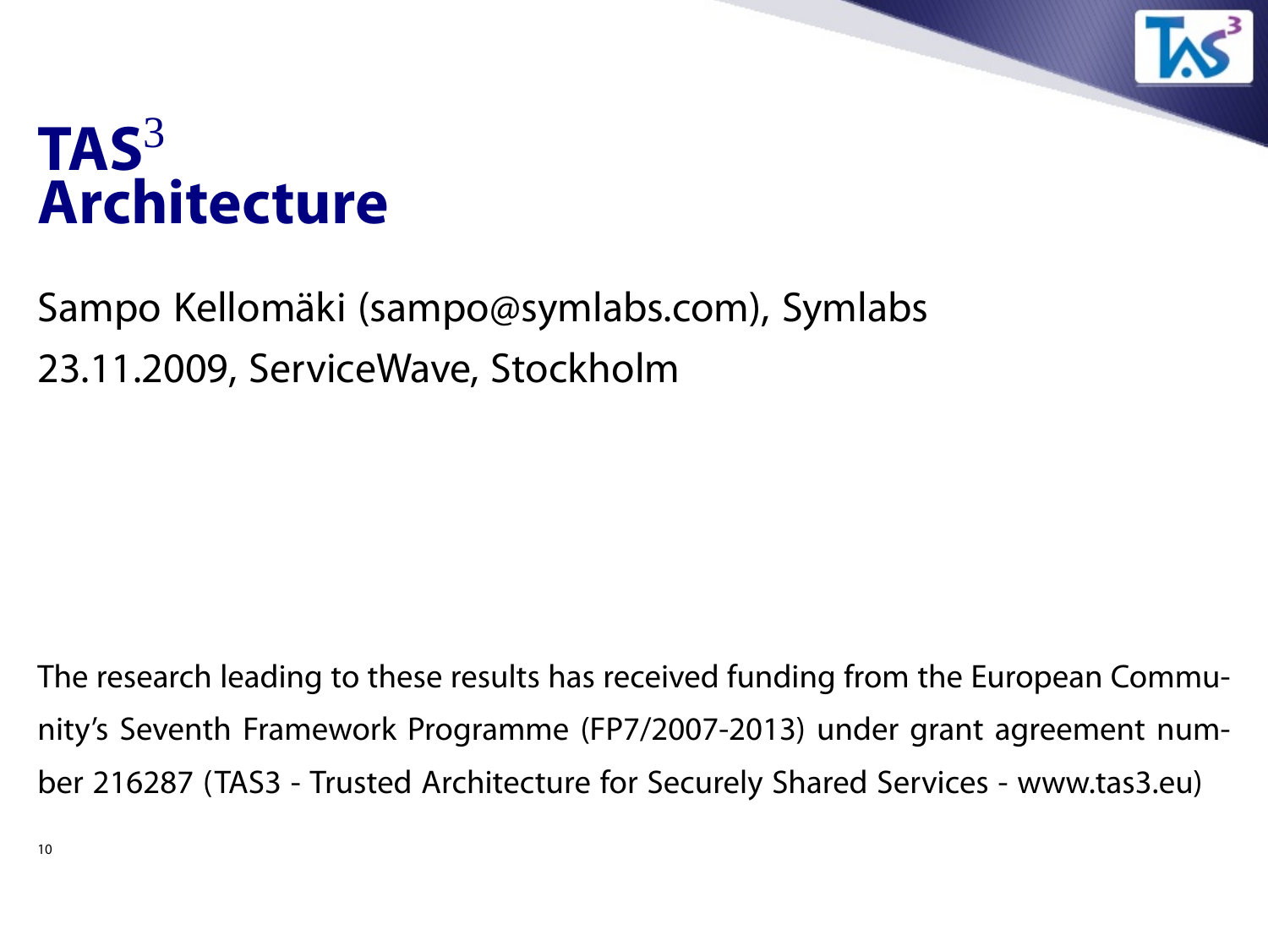## **TAS**<sup>3</sup> **Architecture**

Sampo Kellomäki (sampo@symlabs.com), Symlabs 23.11.2009, ServiceWave, Stockholm

The research leading to these results has received funding from the European Community's Seventh Framework Programme (FP7/2007-2013) under grant agreement number 216287 (TAS3 - Trusted Architecture for Securely Shared Services - www.tas3.eu)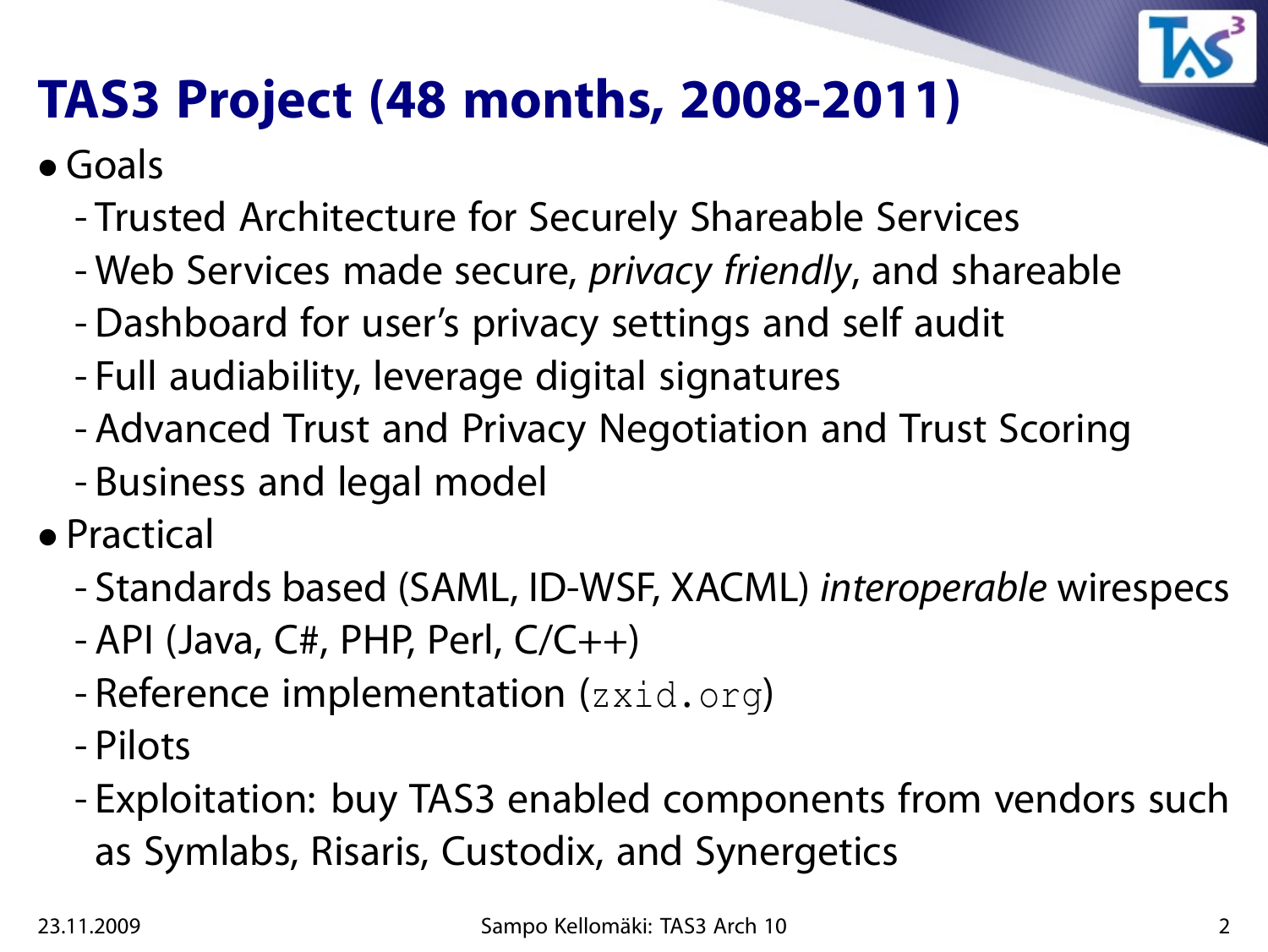

## **TAS3 Project (48 months, 2008-2011)**

- Goals
	- Trusted Architecture for Securely Shareable Services
	- Web Services made secure, *privacy friendly*, and shareable
	- Dashboard for user's privacy settings and self audit
	- Full audiability, leverage digital signatures
	- Advanced Trust and Privacy Negotiation and Trust Scoring
	- Business and legal model
- Practical
	- Standards based (SAML, ID-WSF, XACML) interoperable wirespecs
	- $-$  API (Java, C#, PHP, Perl, C/C++)
	- Reference implementation (zxid.org)
	- Pilots
	- Exploitation: buy TAS3 enabled components from vendors such as Symlabs, Risaris, Custodix, and Synergetics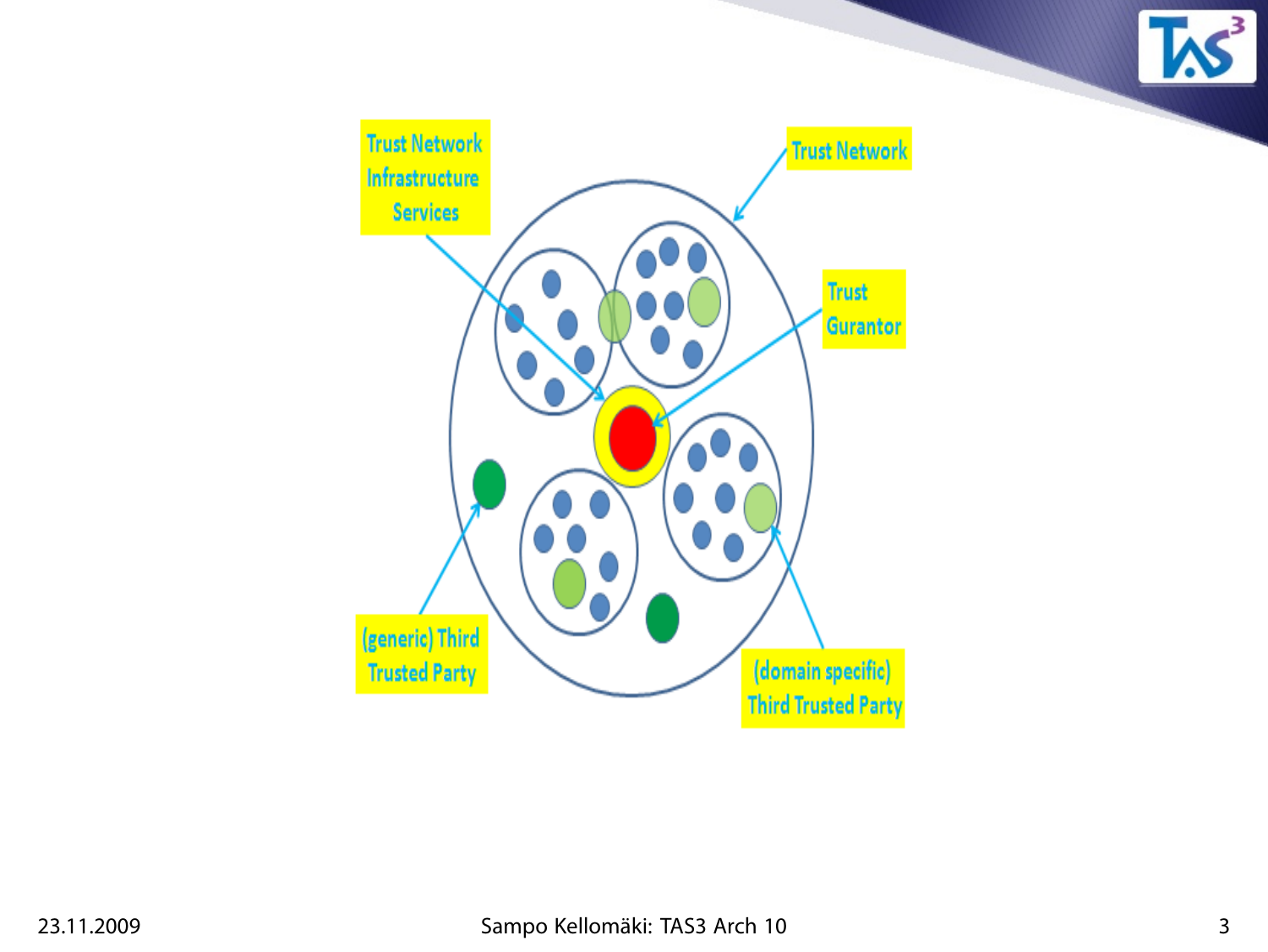

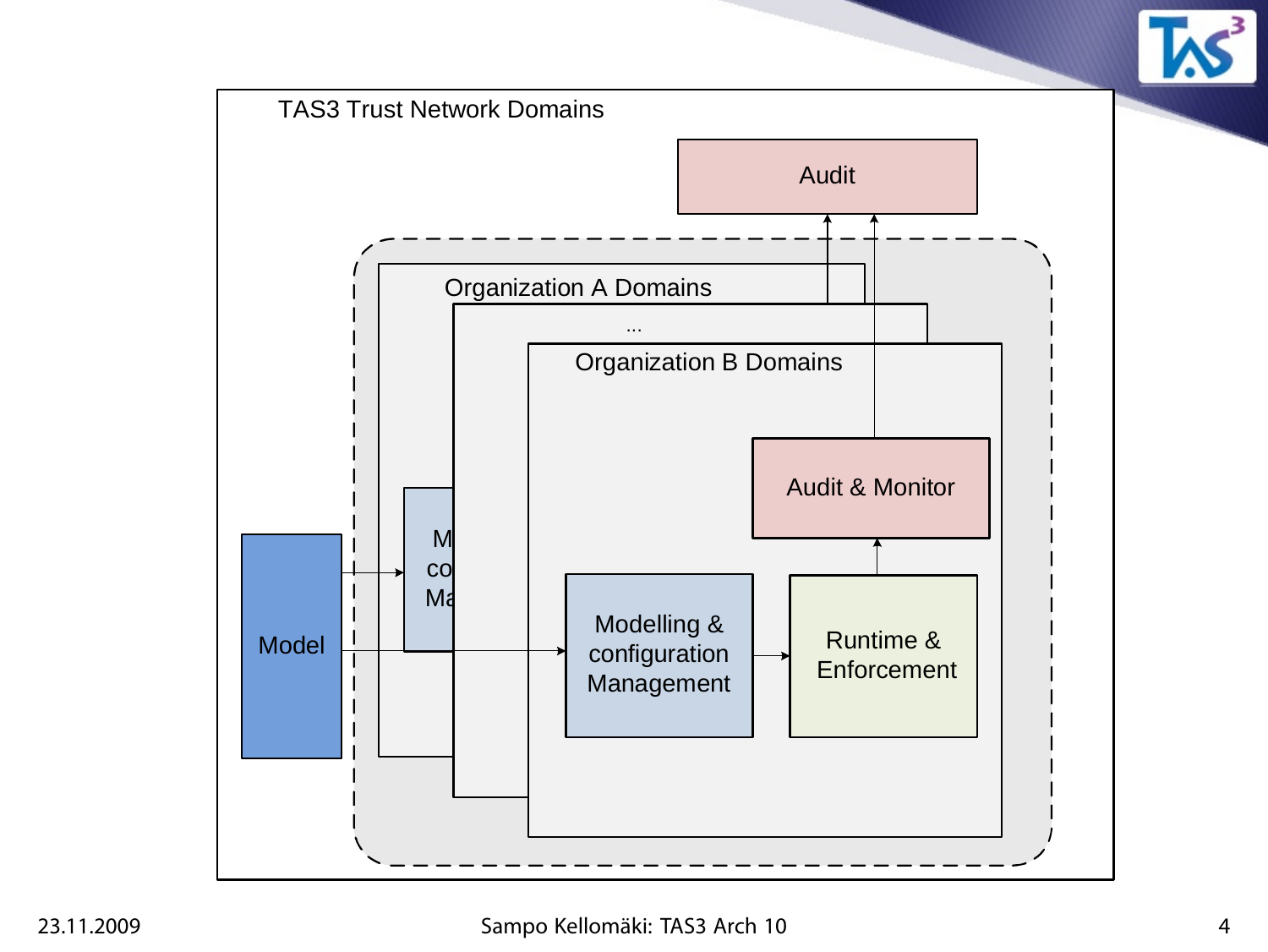

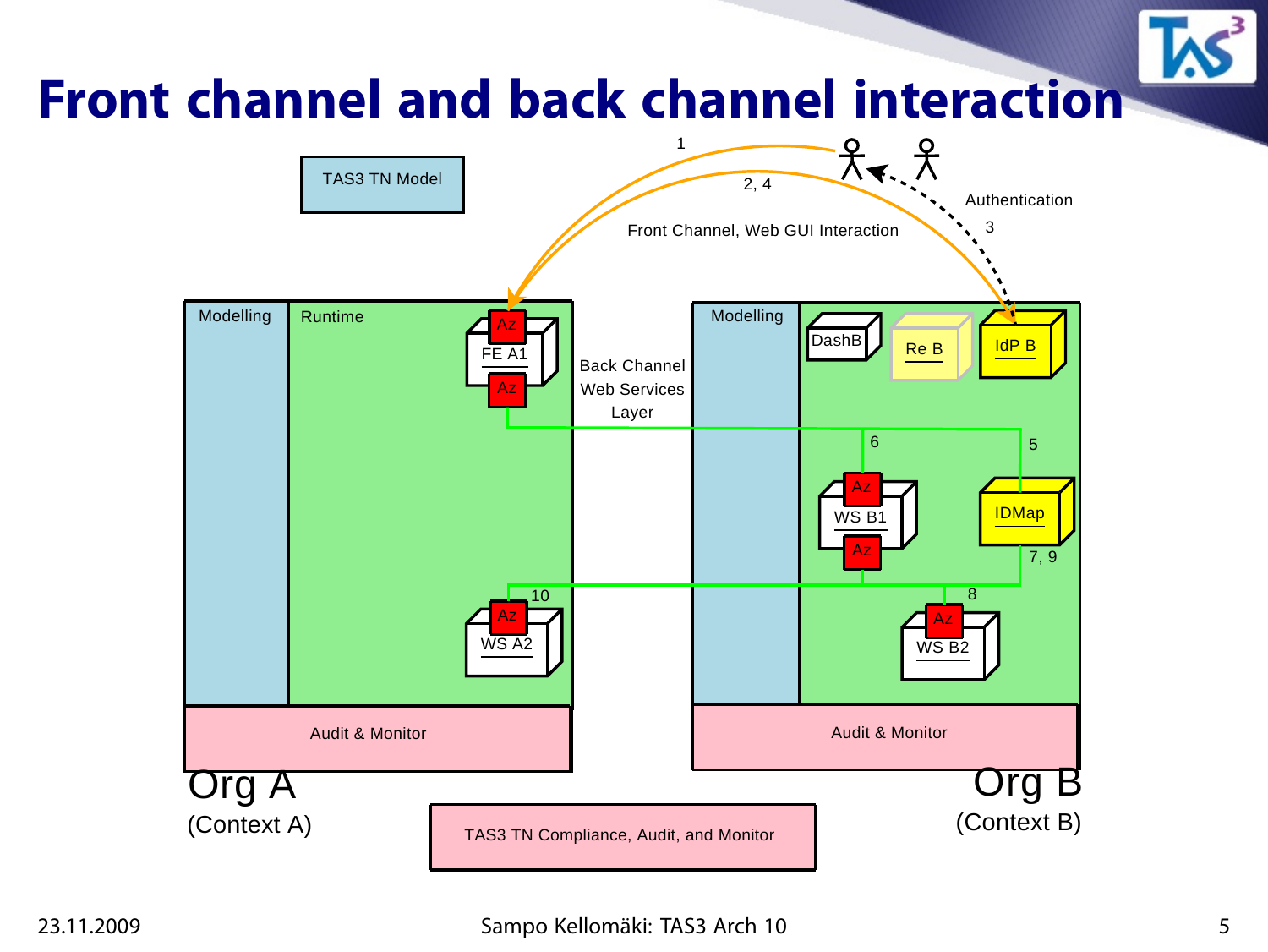#### **Front channel and back channel interaction** 1

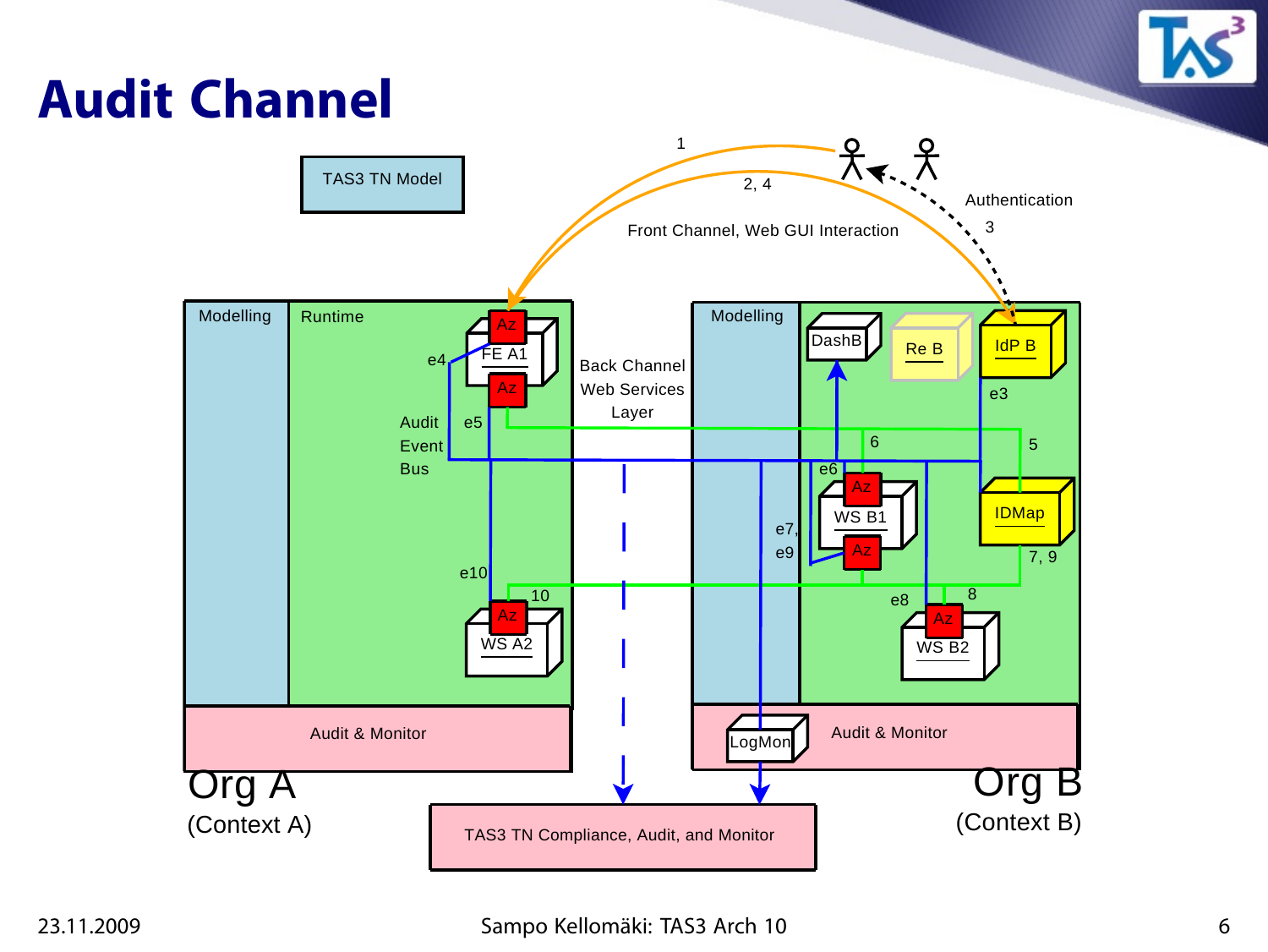## **Audit Channel**

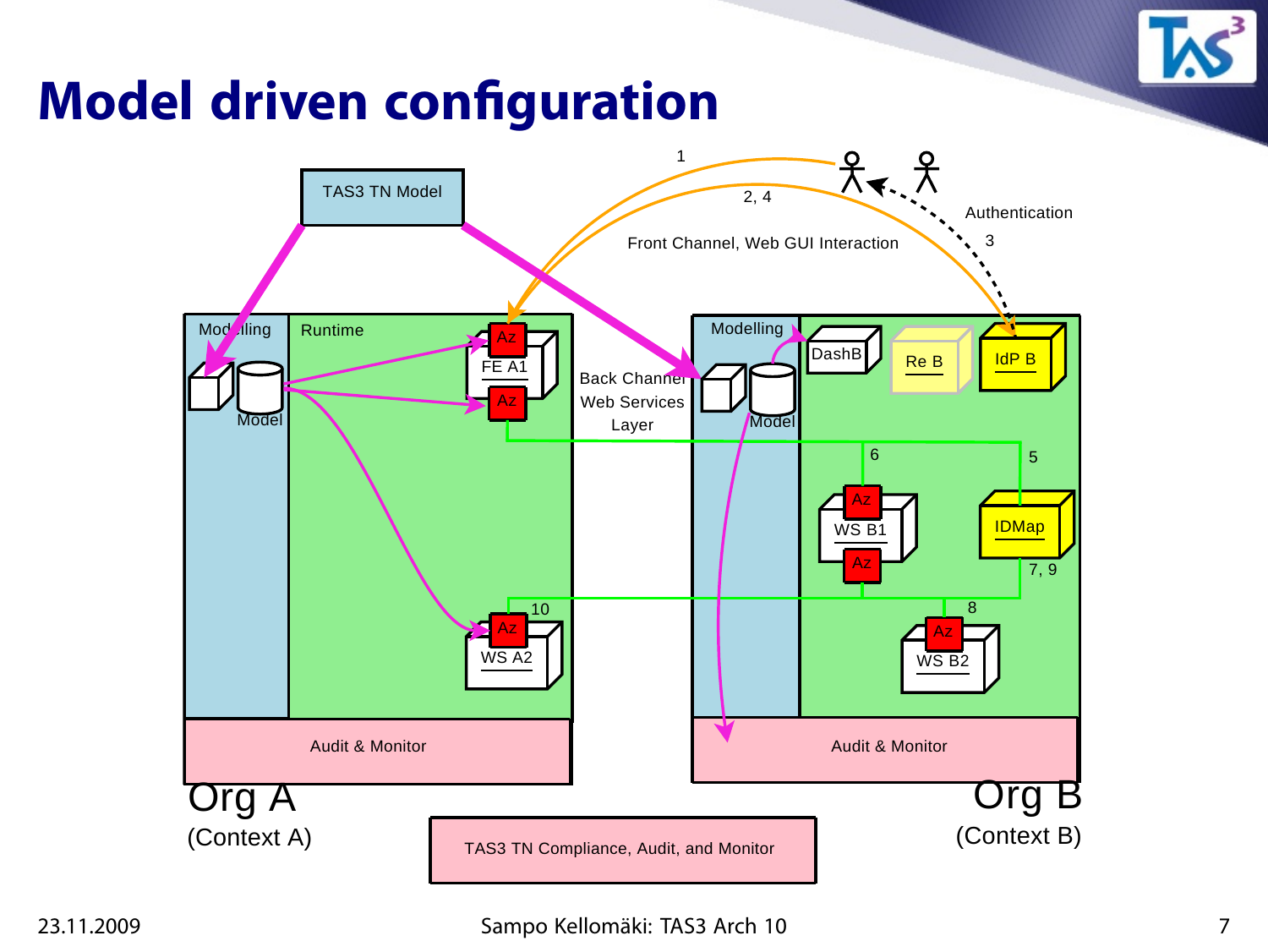

## **Model driven configuration**

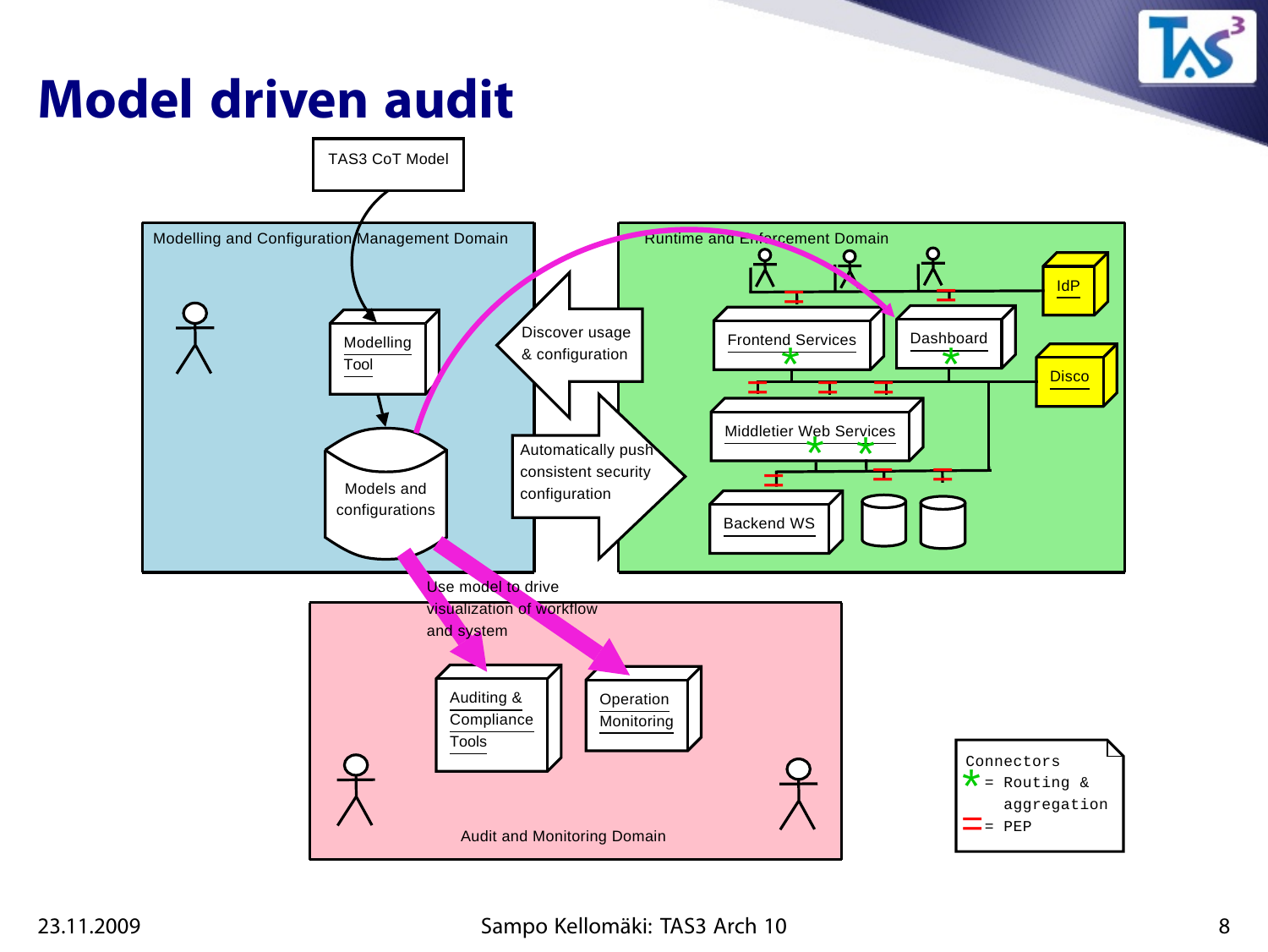## **Model driven audit**



#### 23.11.2009 Sampo Kellomäki: TAS3 Arch 10 8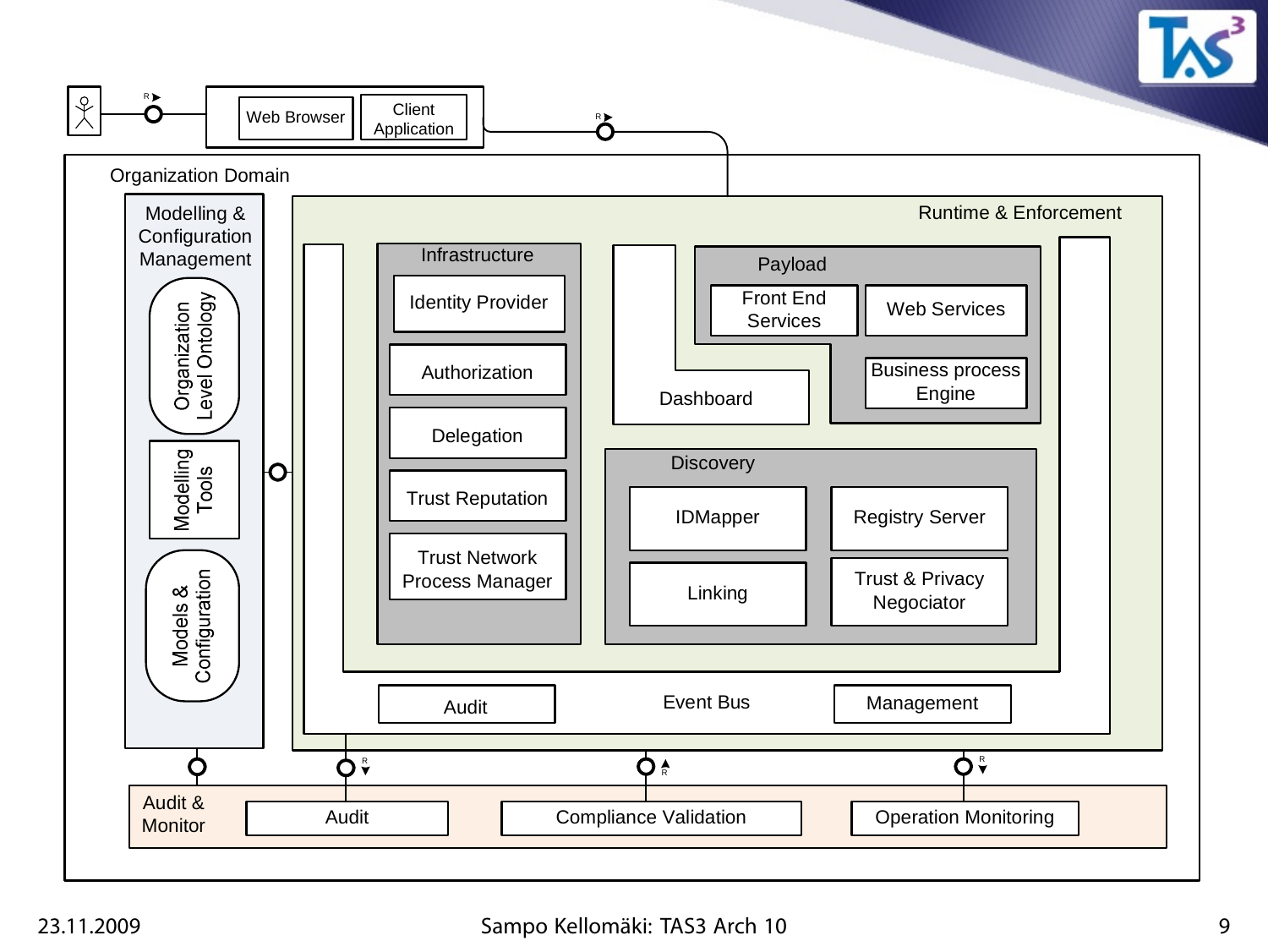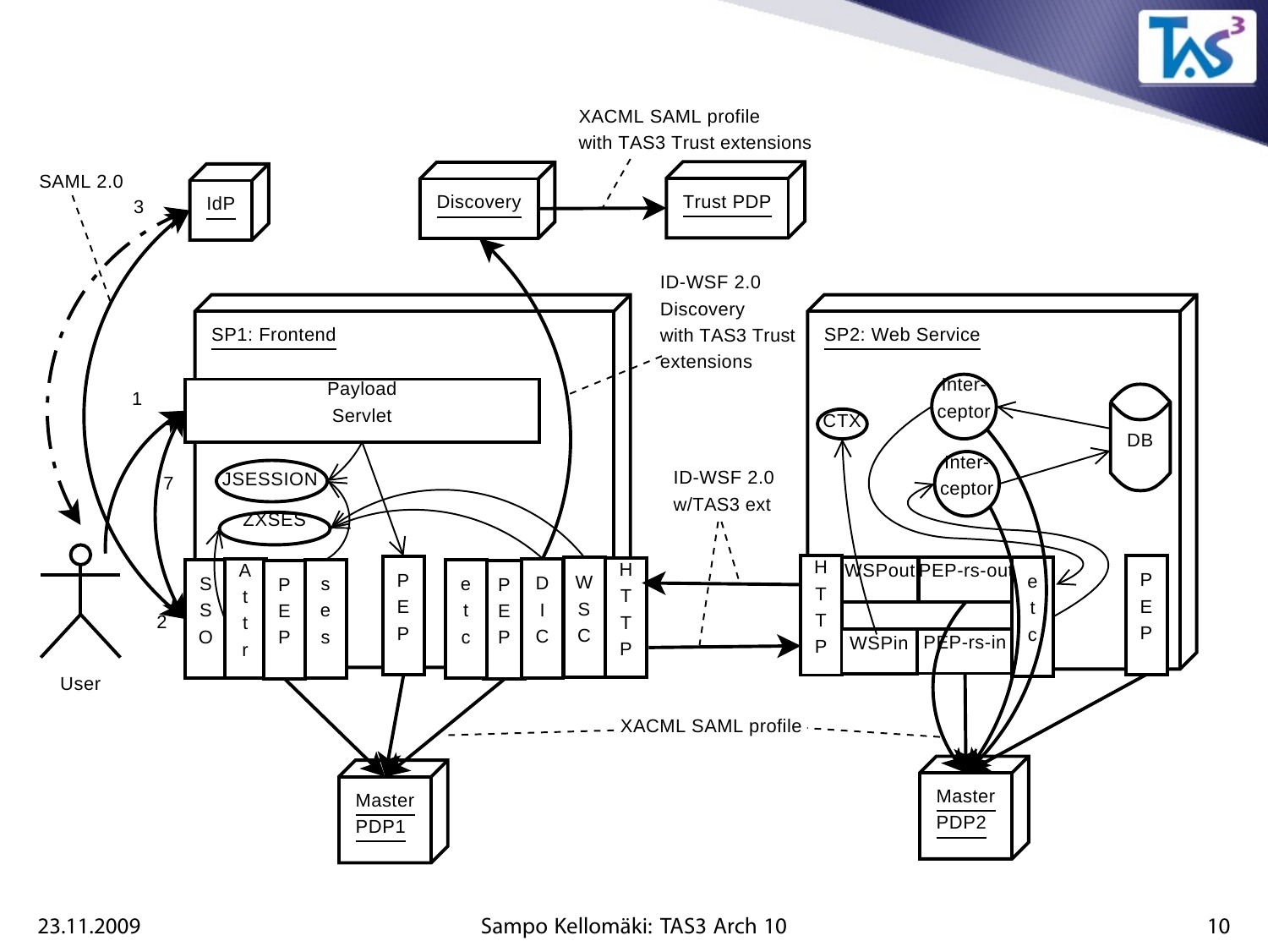

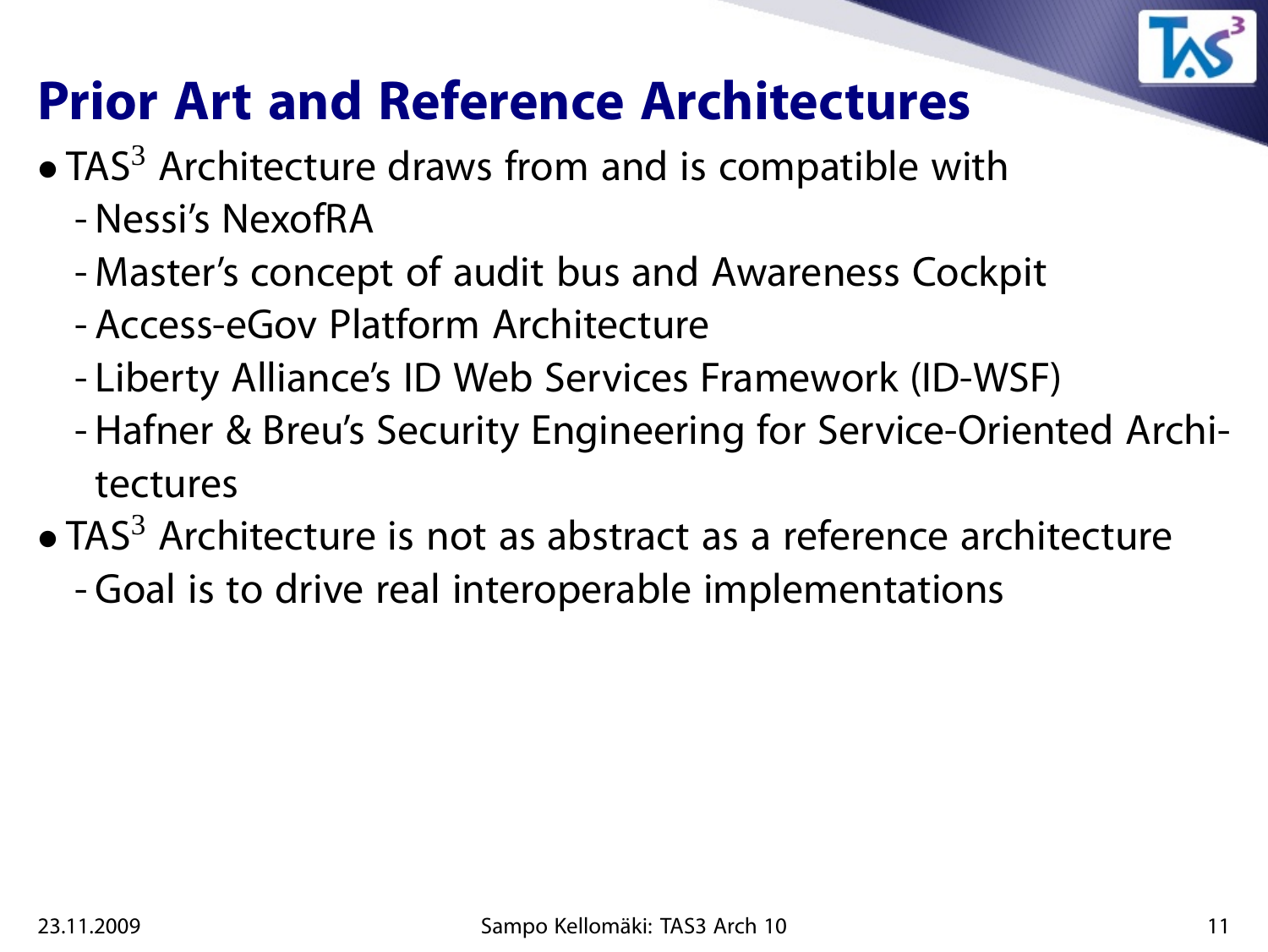

## **Prior Art and Reference Architectures**

- TAS<sup>3</sup> Architecture draws from and is compatible with - Nessi's NexofRA
	- Master's concept of audit bus and Awareness Cockpit
	- Access-eGov Platform Architecture
	- Liberty Alliance's ID Web Services Framework (ID-WSF)
	- Hafner & Breu's Security Engineering for Service-Oriented Architectures
- TAS $3$  Architecture is not as abstract as a reference architecture - Goal is to drive real interoperable implementations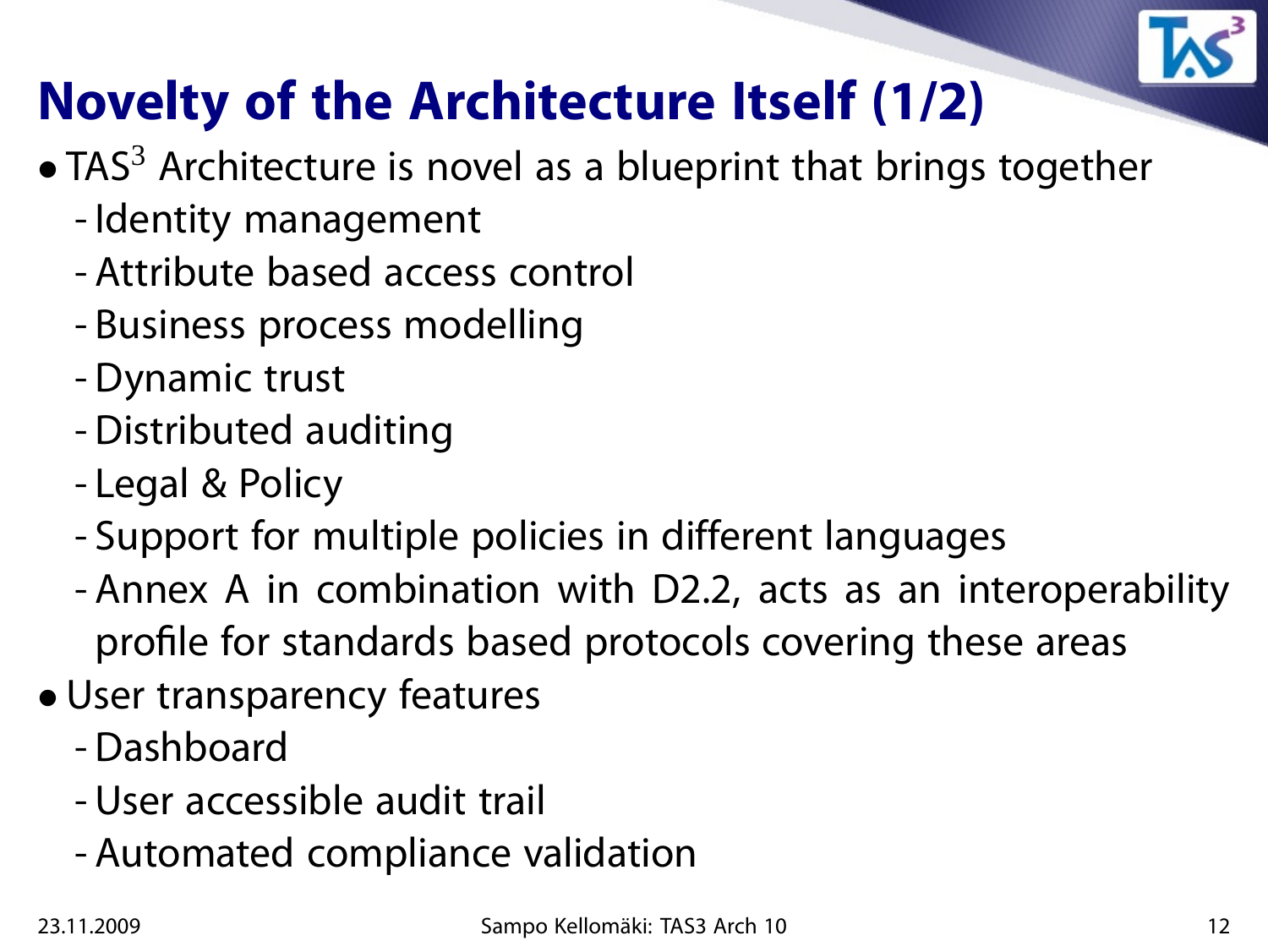

## **Novelty of the Architecture Itself (1/2)**

- $\bullet$  TAS<sup>3</sup> Architecture is novel as a blueprint that brings together
	- Identity management
	- Attribute based access control
	- Business process modelling
	- Dynamic trust
	- Distributed auditing
	- Legal & Policy
	- Support for multiple policies in different languages
	- Annex A in combination with D2.2, acts as an interoperability profile for standards based protocols covering these areas
- User transparency features
	- Dashboard
	- User accessible audit trail
	- Automated compliance validation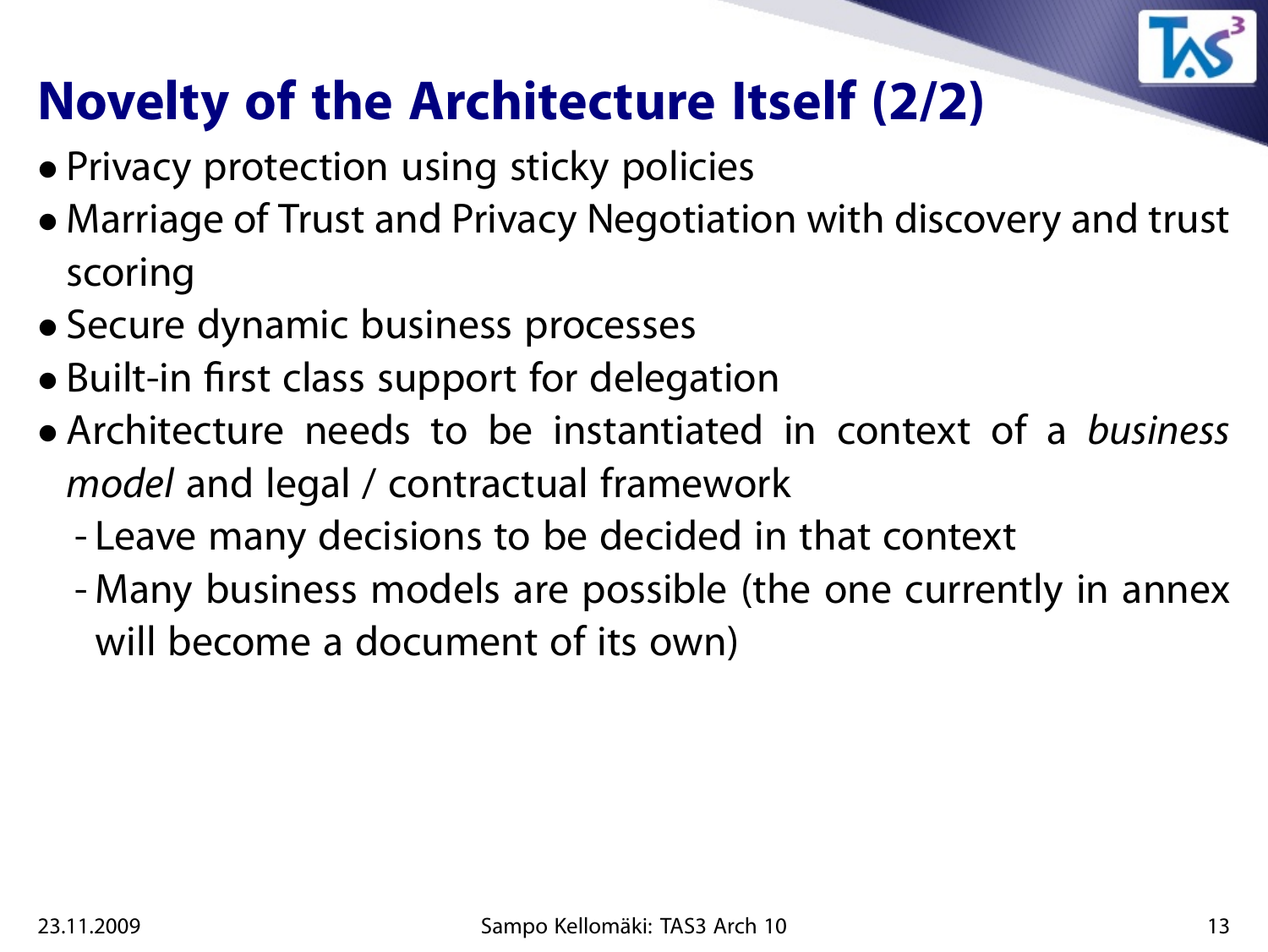

## **Novelty of the Architecture Itself (2/2)**

- Privacy protection using sticky policies
- Marriage of Trust and Privacy Negotiation with discovery and trust scoring
- Secure dynamic business processes
- Built-in first class support for delegation
- Architecture needs to be instantiated in context of a business model and legal / contractual framework
	- Leave many decisions to be decided in that context
	- Many business models are possible (the one currently in annex will become a document of its own)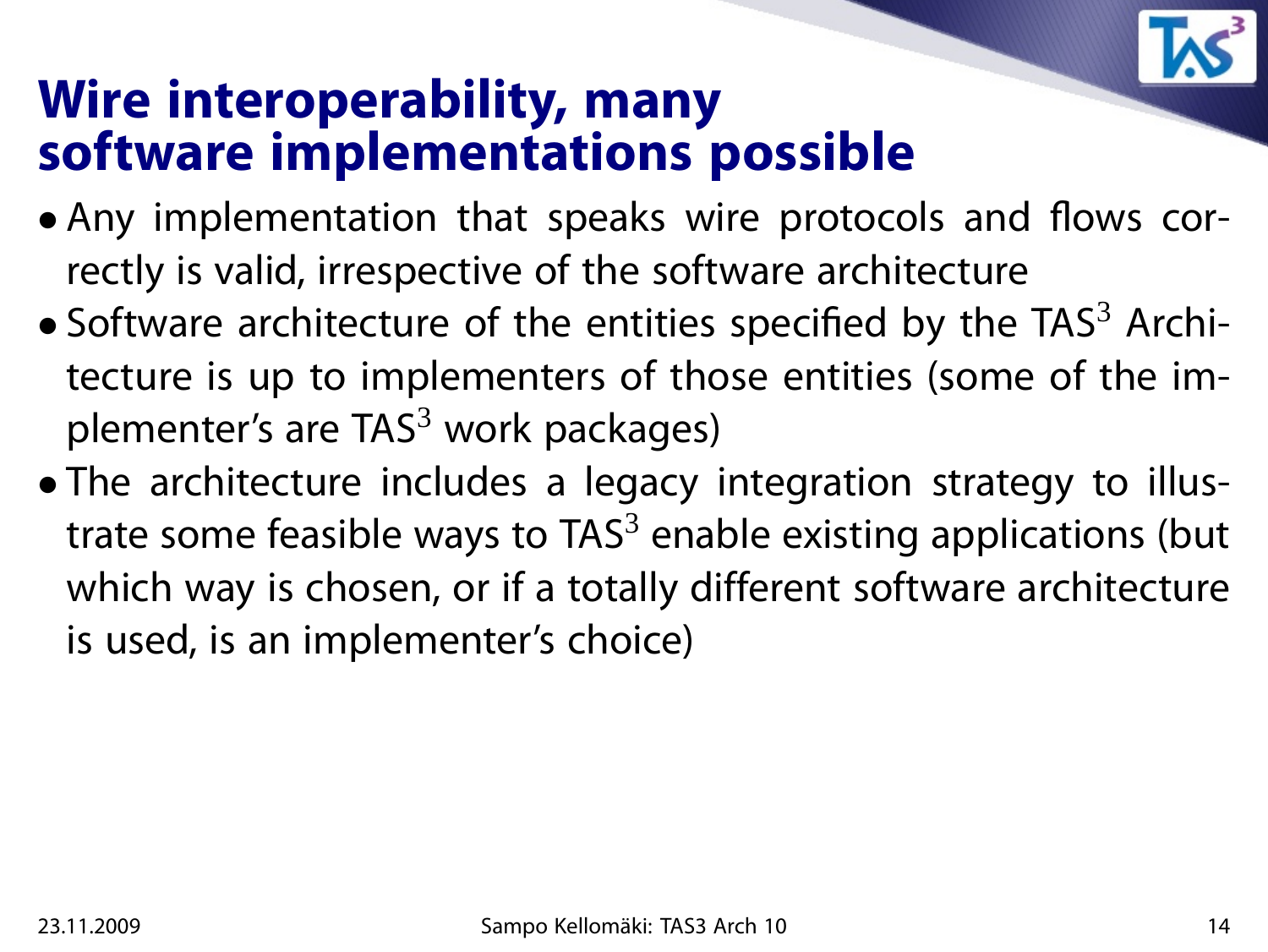

#### **Wire interoperability, many software implementations possible**

- Any implementation that speaks wire protocols and flows correctly is valid, irrespective of the software architecture
- Software architecture of the entities specified by the  $TAS<sup>3</sup>$  Architecture is up to implementers of those entities (some of the implementer's are  $TAS<sup>3</sup>$  work packages)
- The architecture includes a legacy integration strategy to illustrate some feasible ways to  $TAS<sup>3</sup>$  enable existing applications (but which way is chosen, or if a totally different software architecture is used, is an implementer's choice)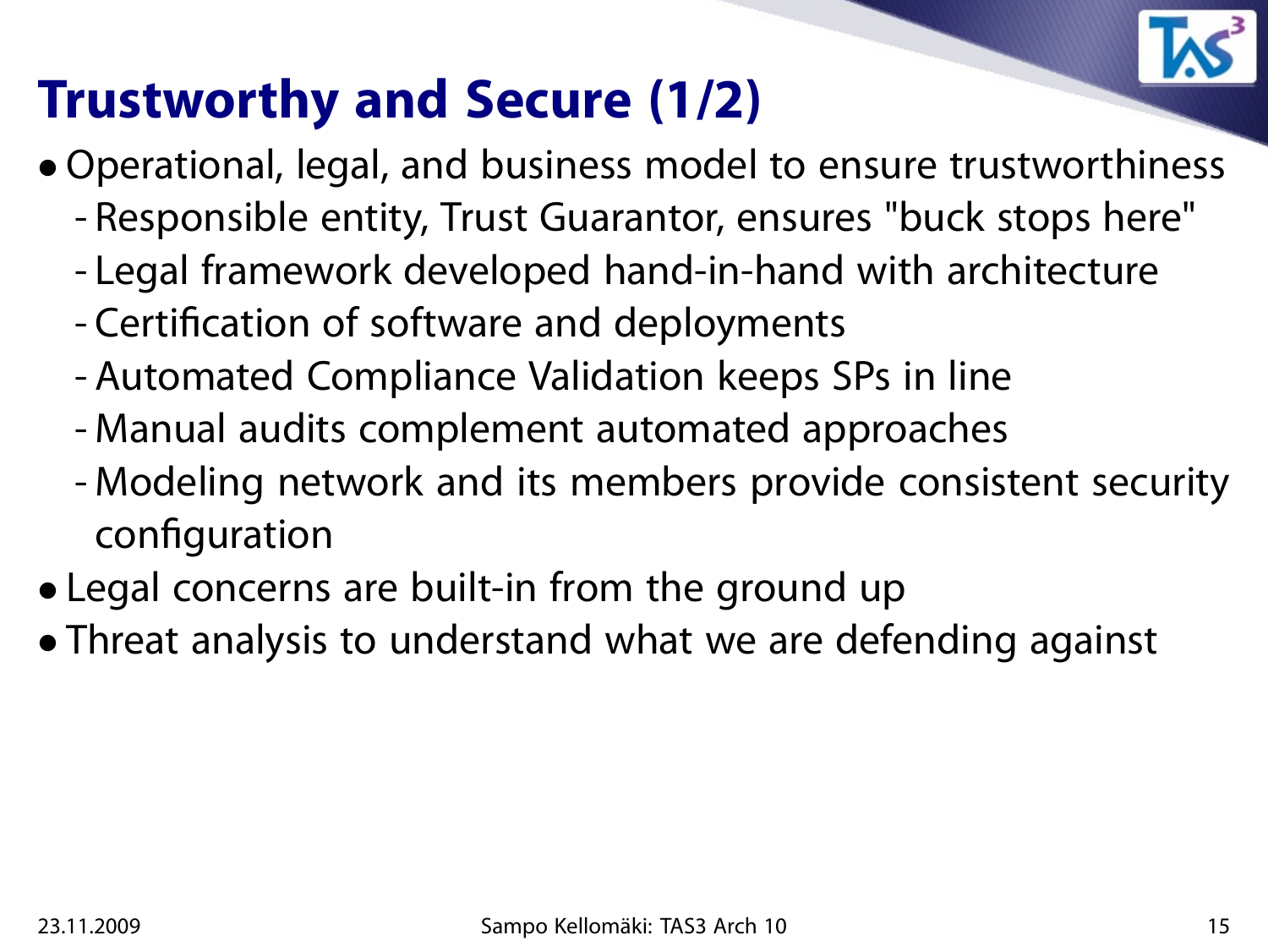

## **Trustworthy and Secure (1/2)**

- Operational, legal, and business model to ensure trustworthiness
	- Responsible entity, Trust Guarantor, ensures "buck stops here"
	- Legal framework developed hand-in-hand with architecture
	- Certification of software and deployments
	- Automated Compliance Validation keeps SPs in line
	- Manual audits complement automated approaches
	- Modeling network and its members provide consistent security configuration
- Legal concerns are built-in from the ground up
- Threat analysis to understand what we are defending against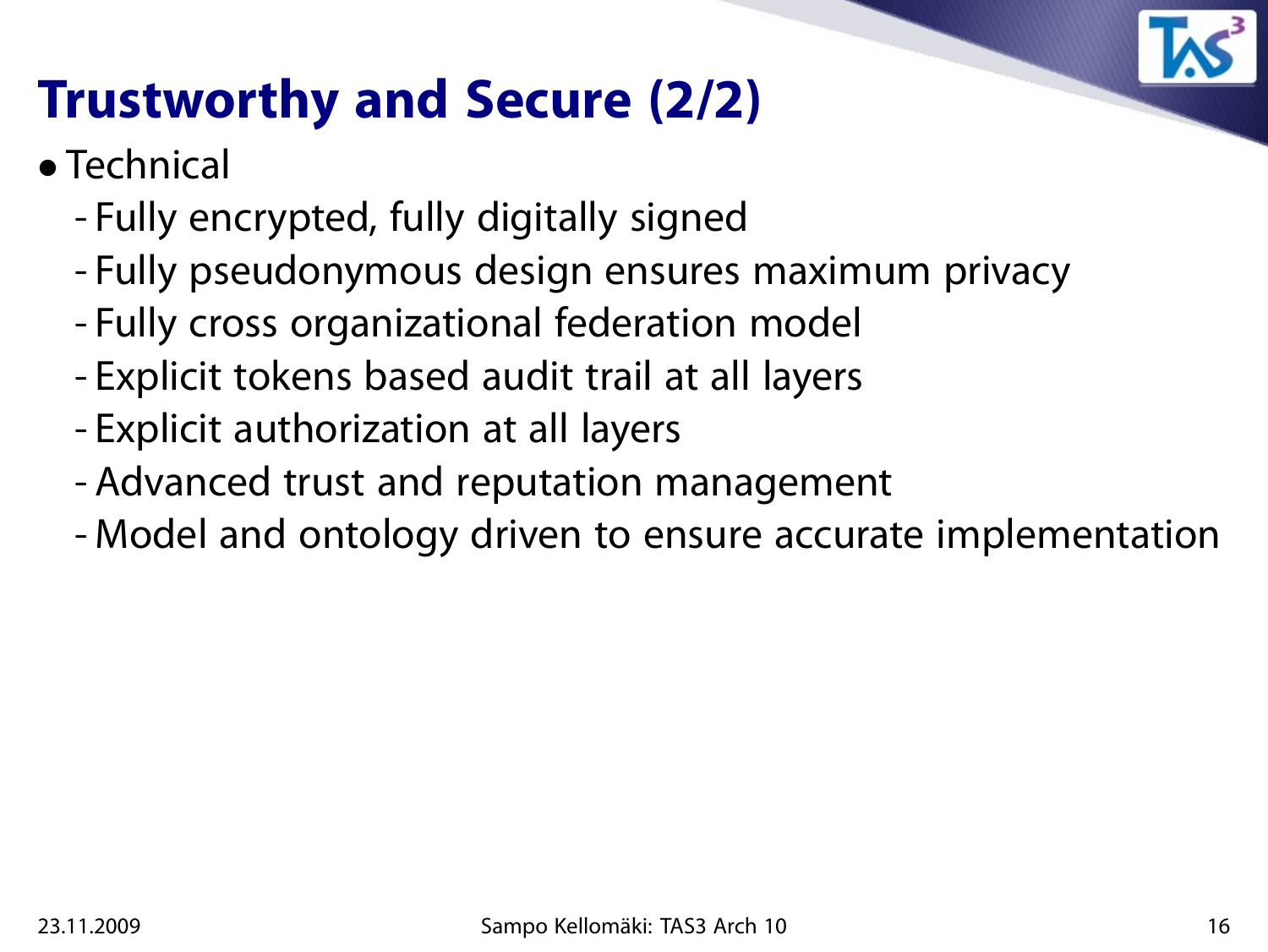

## **Trustworthy and Secure (2/2)**

- Technical
	- Fully encrypted, fully digitally signed
	- Fully pseudonymous design ensures maximum privacy
	- Fully cross organizational federation model
	- Explicit tokens based audit trail at all layers
	- Explicit authorization at all layers
	- Advanced trust and reputation management
	- Model and ontology driven to ensure accurate implementation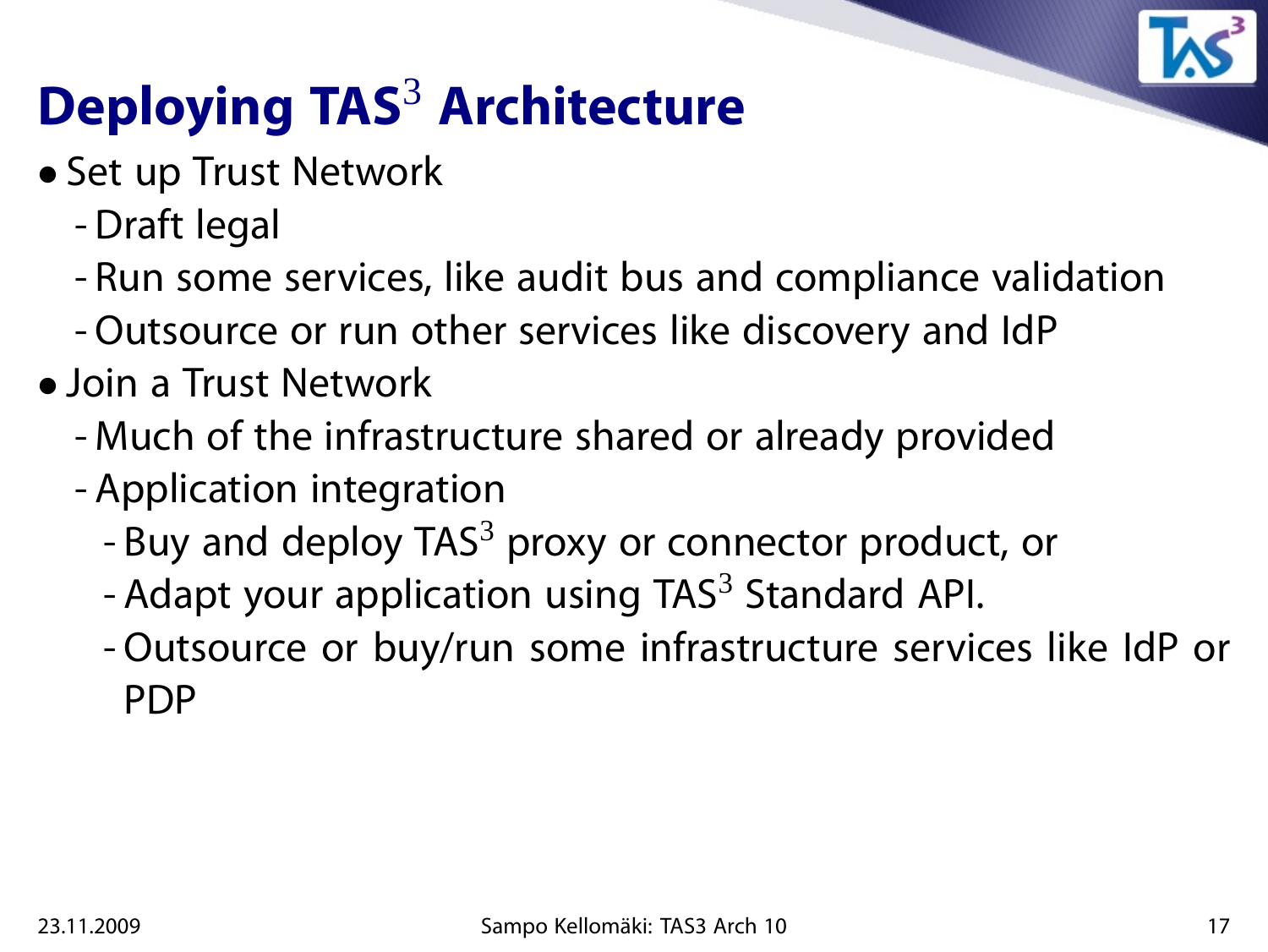

# **Deploying TAS**<sup>3</sup> **Architecture**

- Set up Trust Network
	- Draft legal
	- Run some services, like audit bus and compliance validation
	- Outsource or run other services like discovery and IdP
- Join a Trust Network
	- Much of the infrastructure shared or already provided
	- Application integration
		- Buy and deploy TAS $3$  proxy or connector product, or
		- Adapt your application using  $TAS<sup>3</sup>$  Standard API.
		- Outsource or buy/run some infrastructure services like IdP or PDP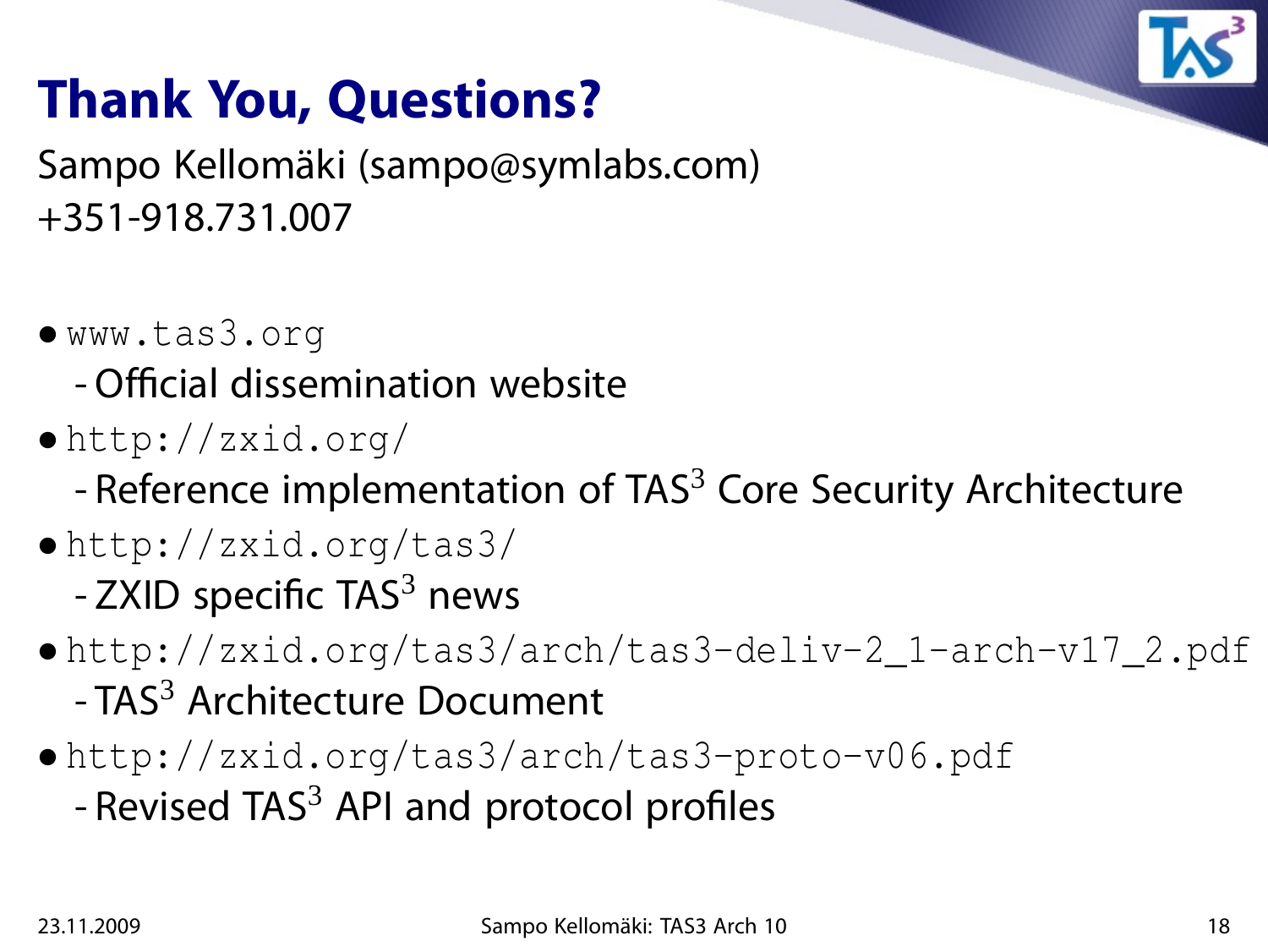

## **Thank You, Questions?**

Sampo Kellomäki (sampo@symlabs.com) +351-918.731.007

- www.tas3.org
	- Official dissemination website
- http://zxid.org/
	- Reference implementation of  $TAS<sup>3</sup>$  Core Security Architecture
- http://zxid.org/tas3/  $-$  ZXID specific TAS $3$  news
- http://zxid.org/tas3/arch/tas3-deliv-2\_1-arch-v17\_2.pdf - TAS<sup>3</sup> Architecture Document
- http://zxid.org/tas3/arch/tas3-proto-v06.pdf - Revised TAS $3$  API and protocol profiles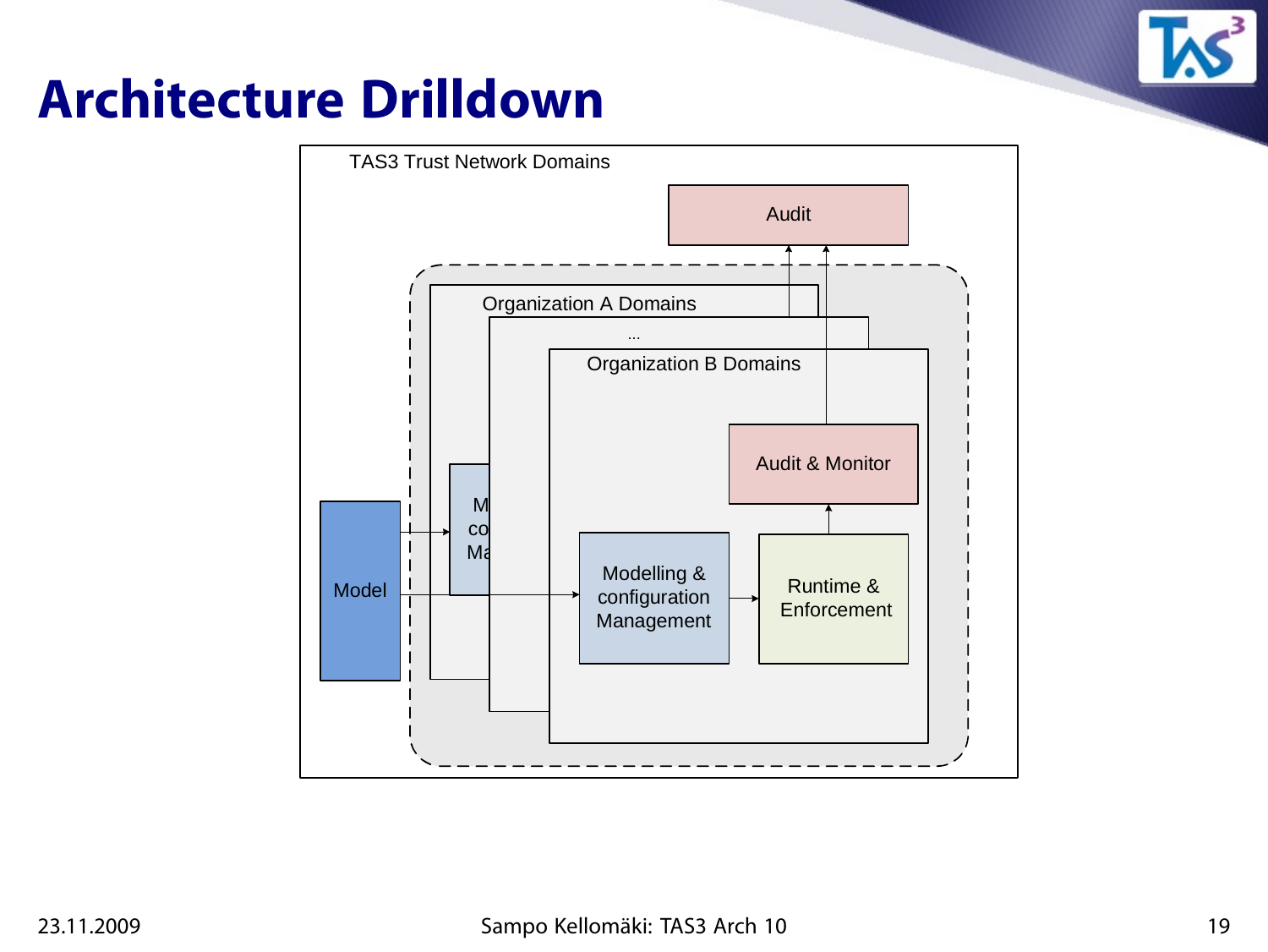

## **Architecture Drilldown**

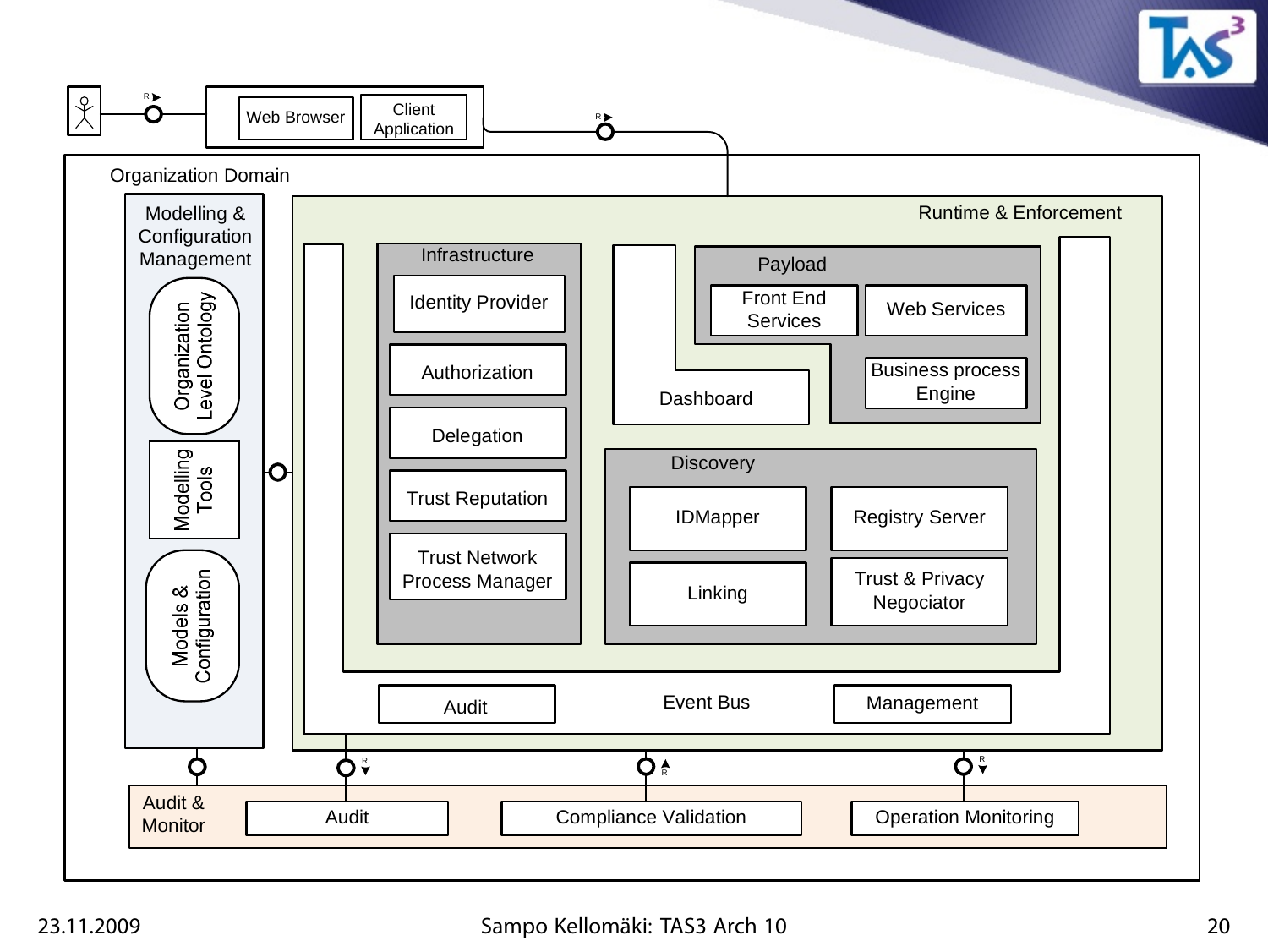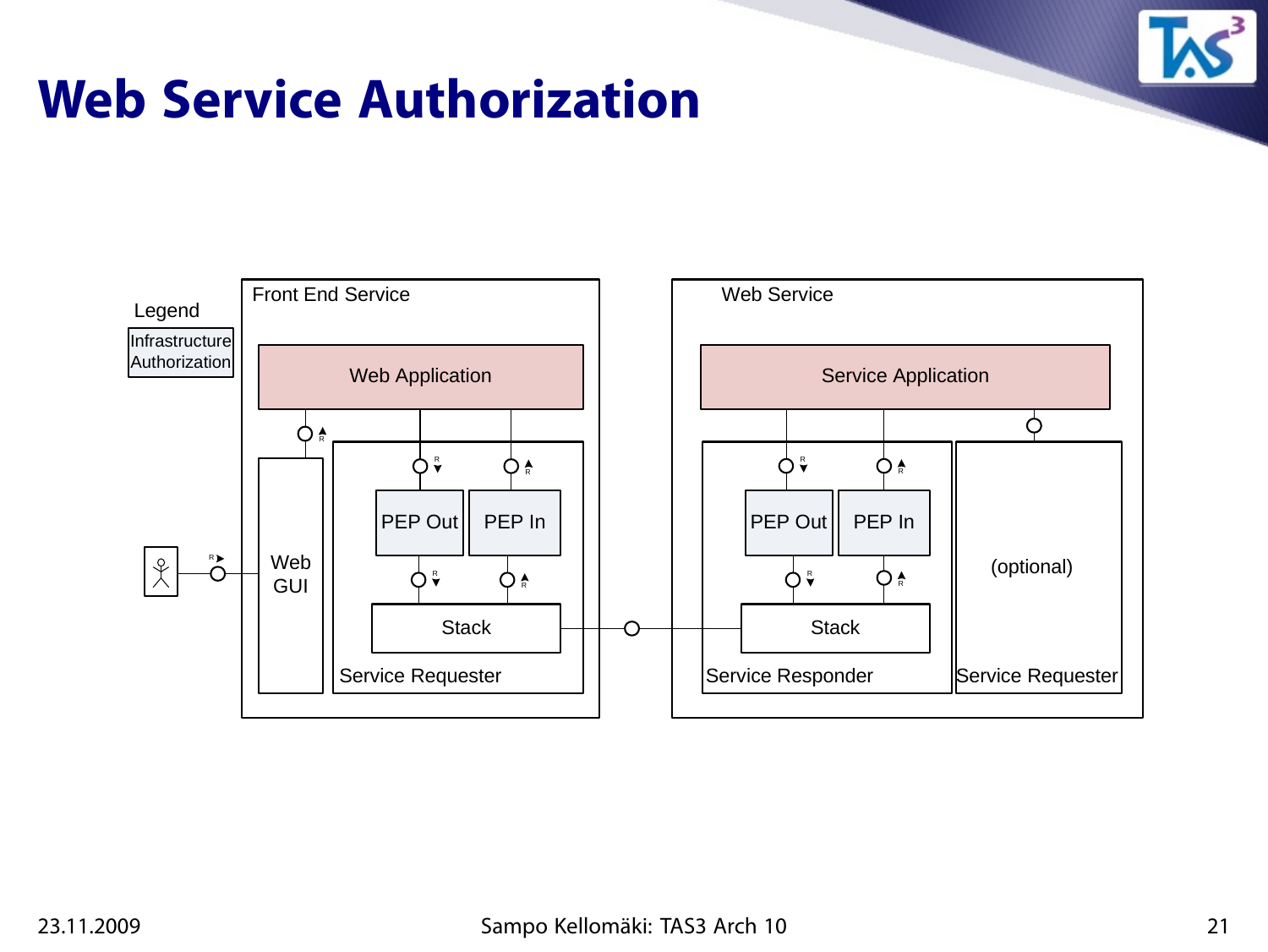

## **Web Service Authorization**

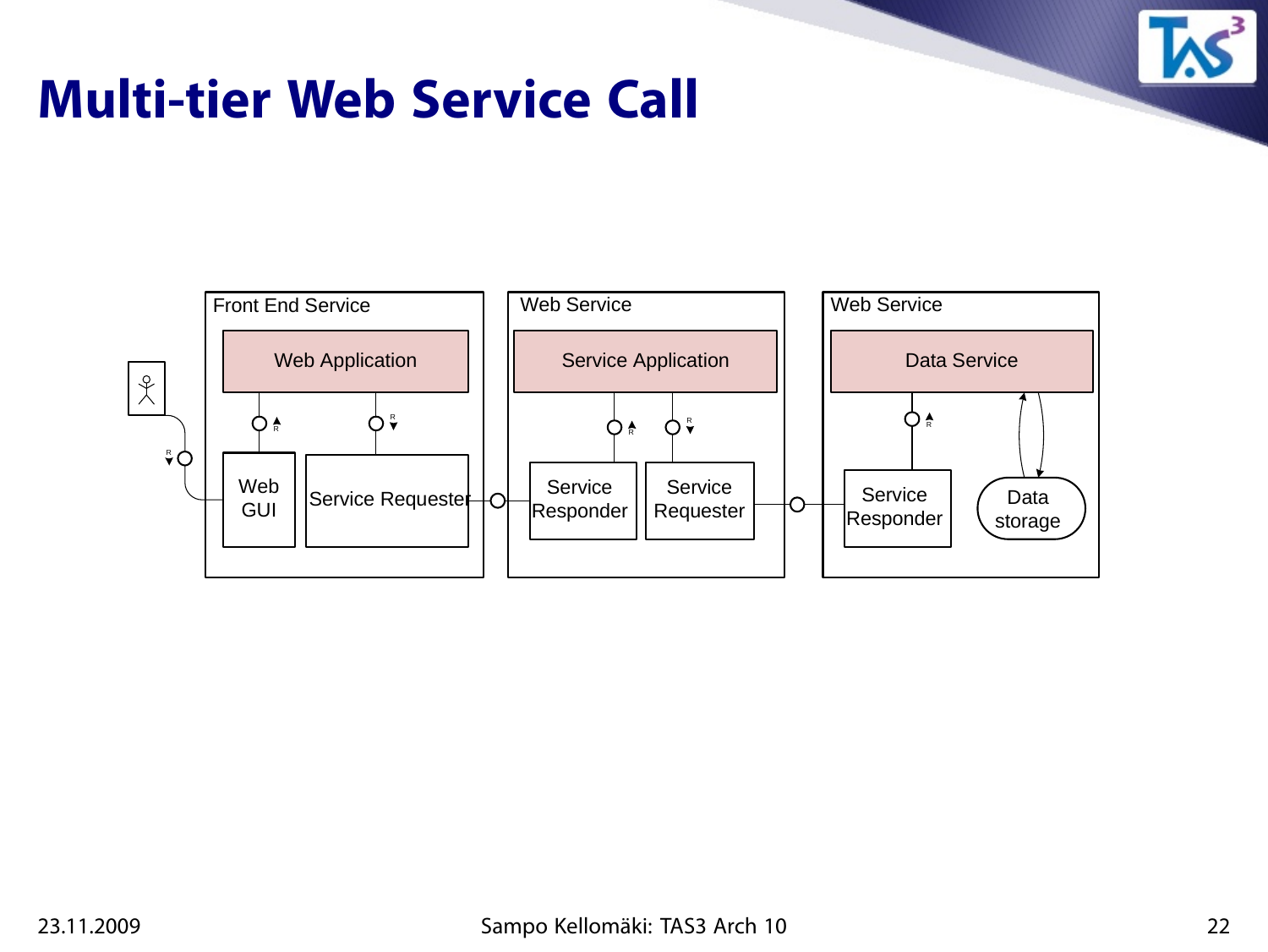

### **Multi-tier Web Service Call**

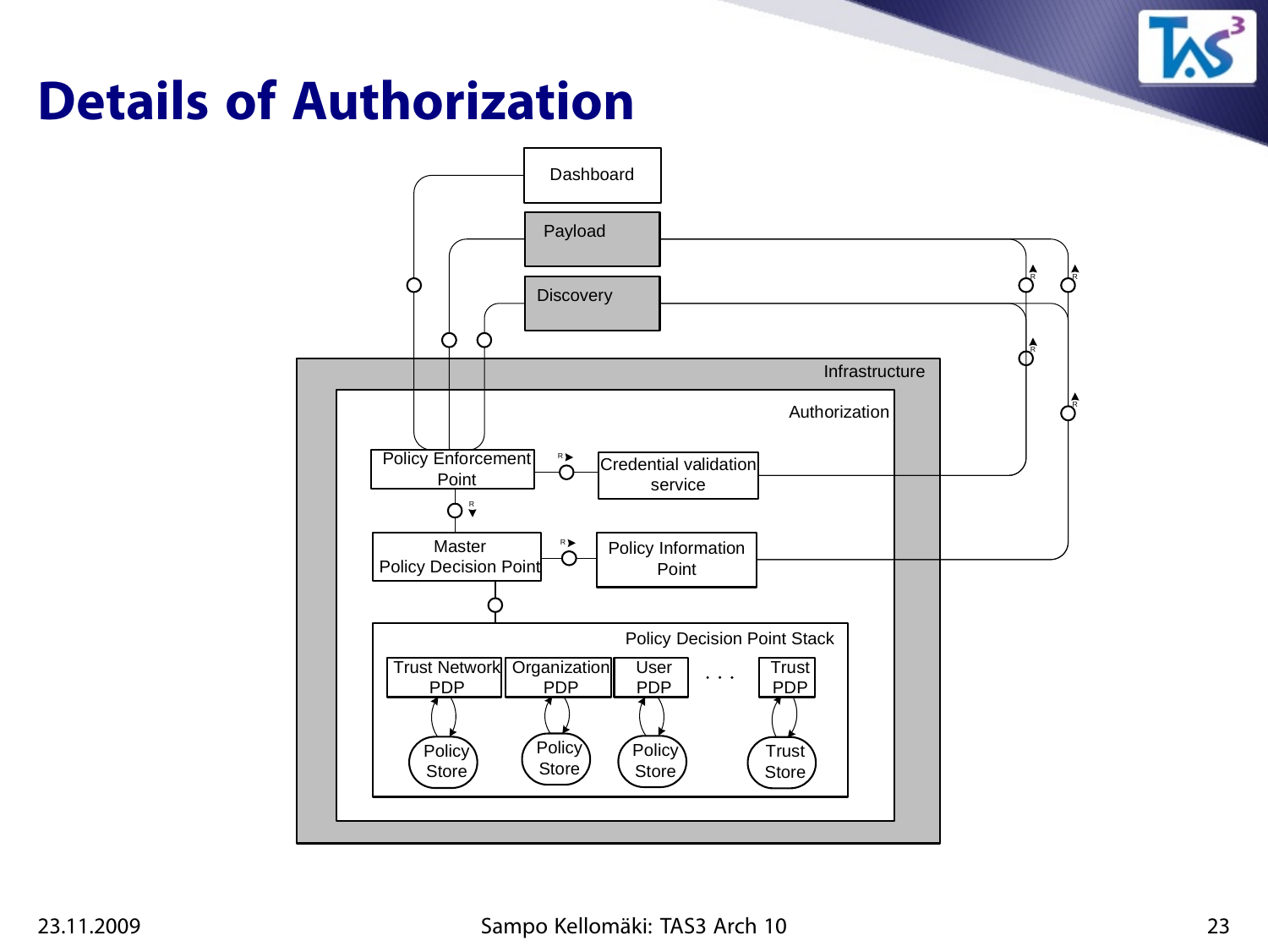

## **Details of Authorization**

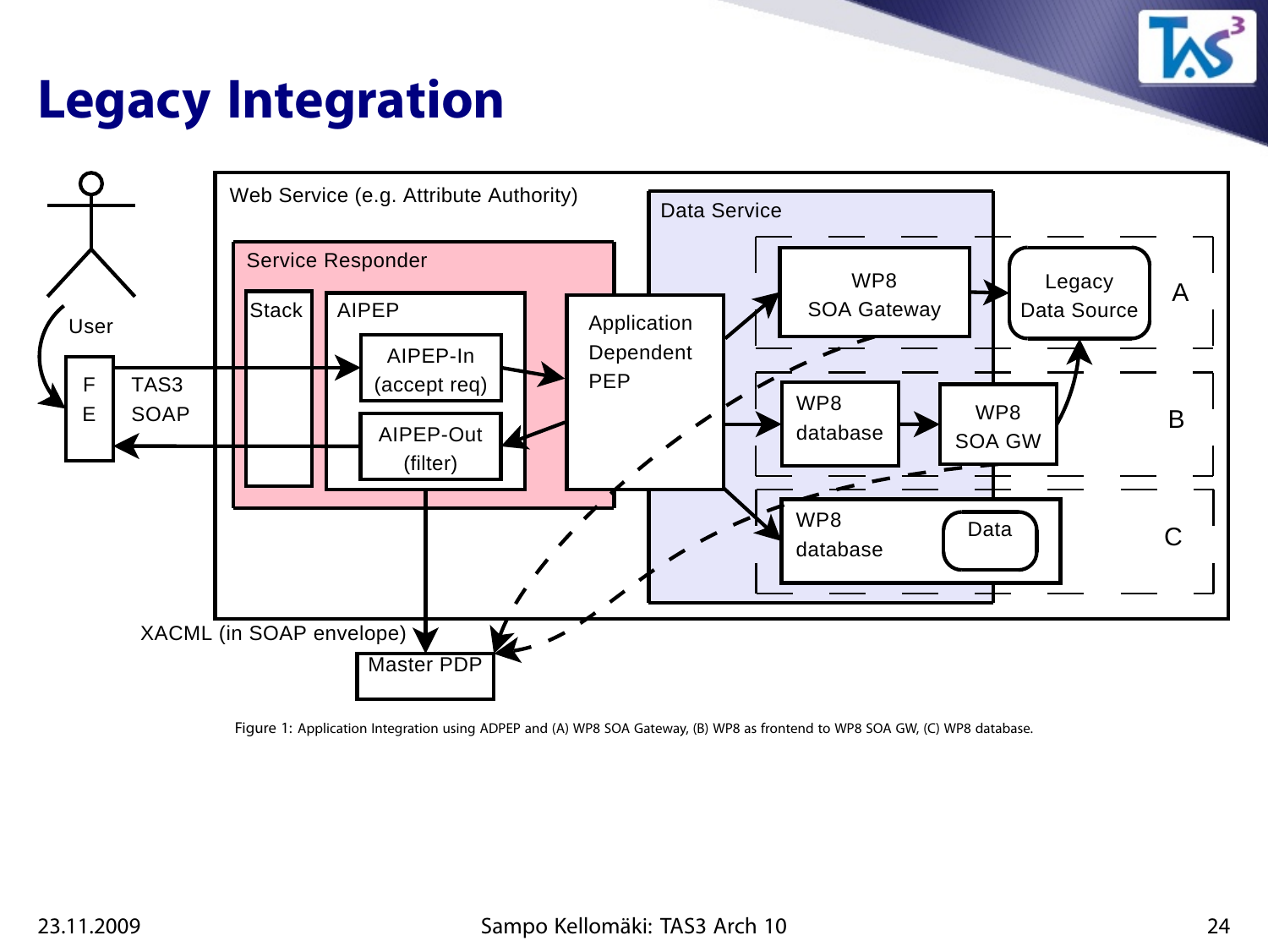

## **Legacy Integration**



Figure 1: Application Integration using ADPEP and (A) WP8 SOA Gateway, (B) WP8 as frontend to WP8 SOA GW, (C) WP8 database.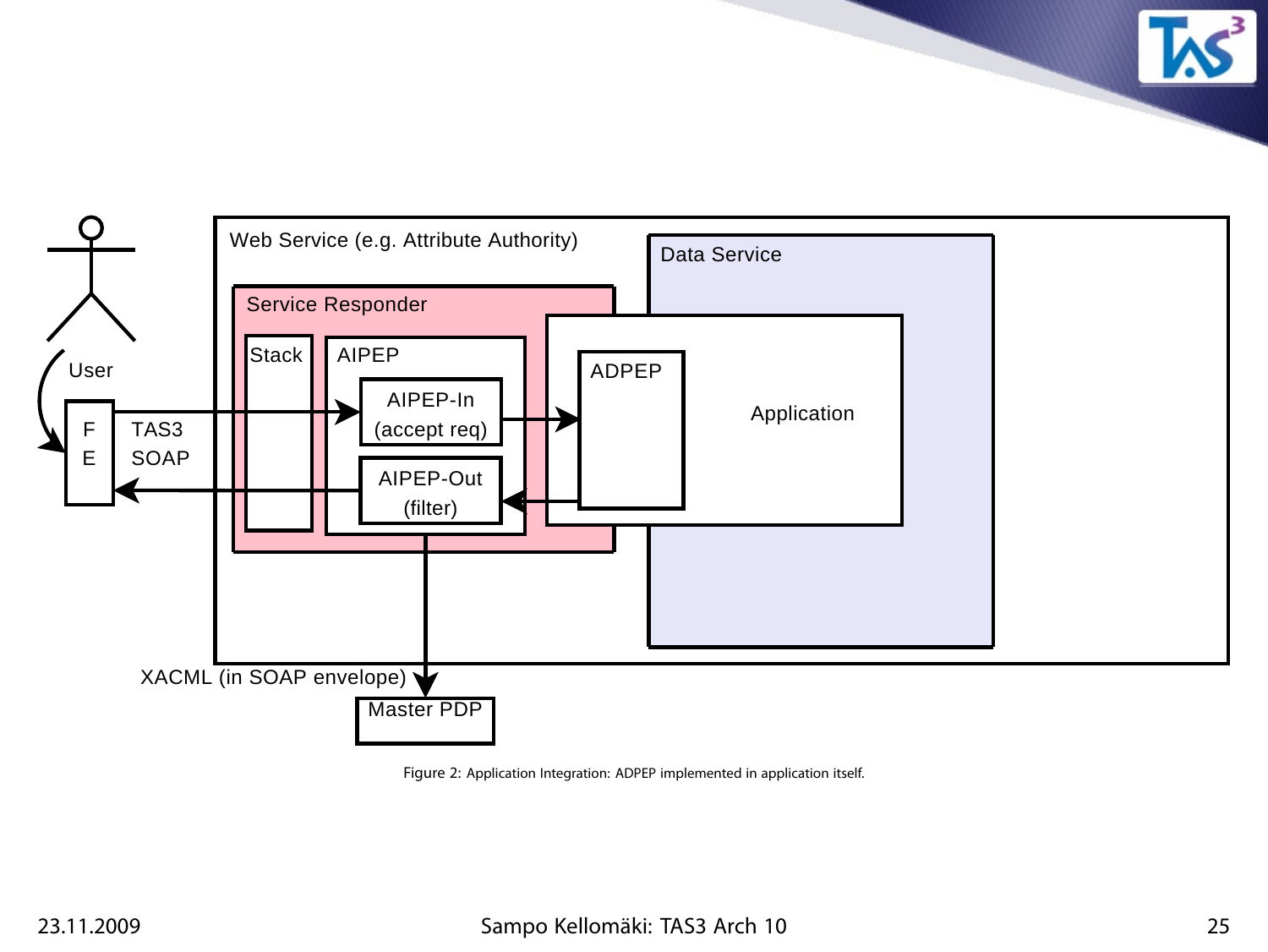

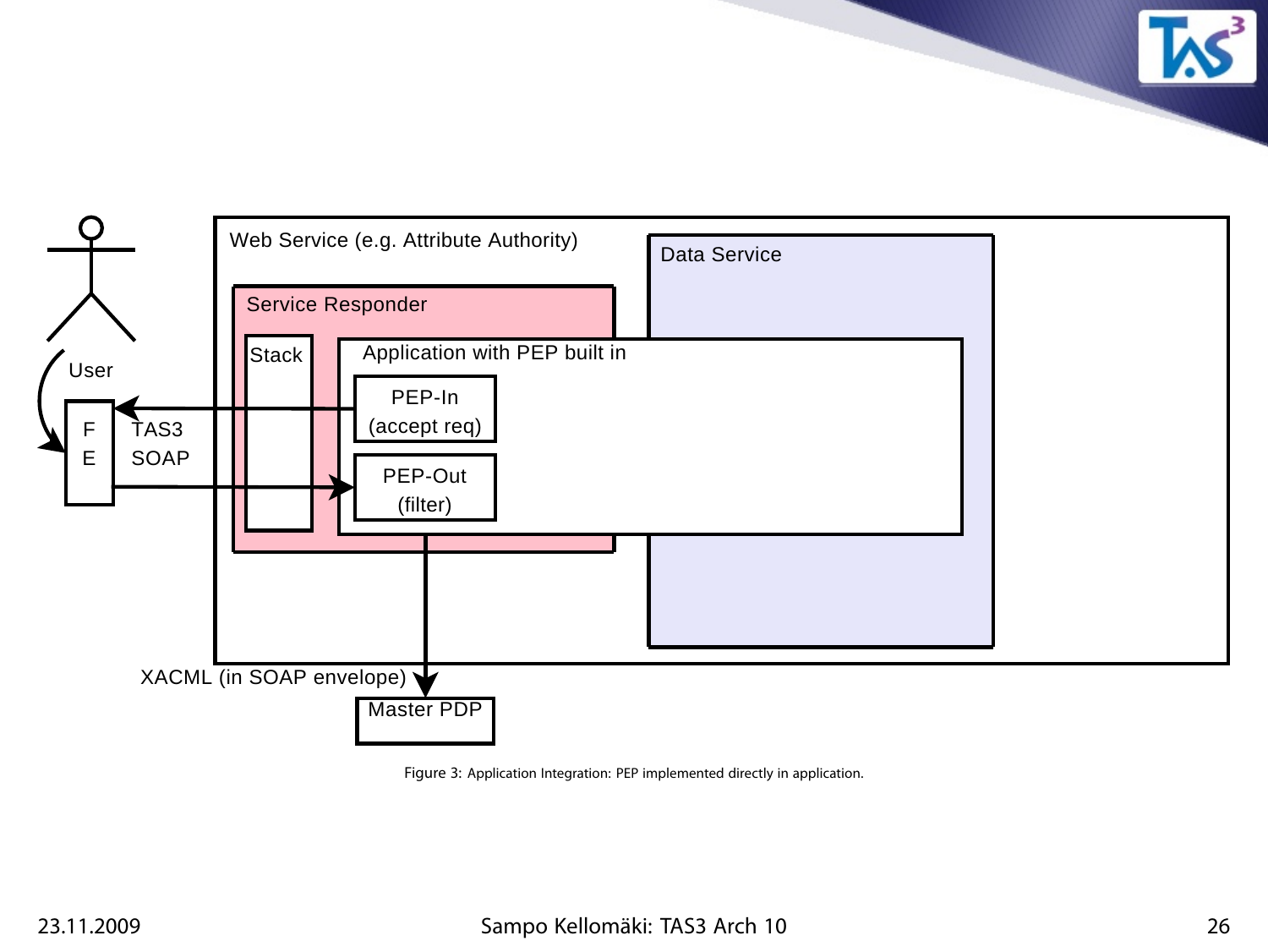

Figure 3: Application Integration: PEP implemented directly in application.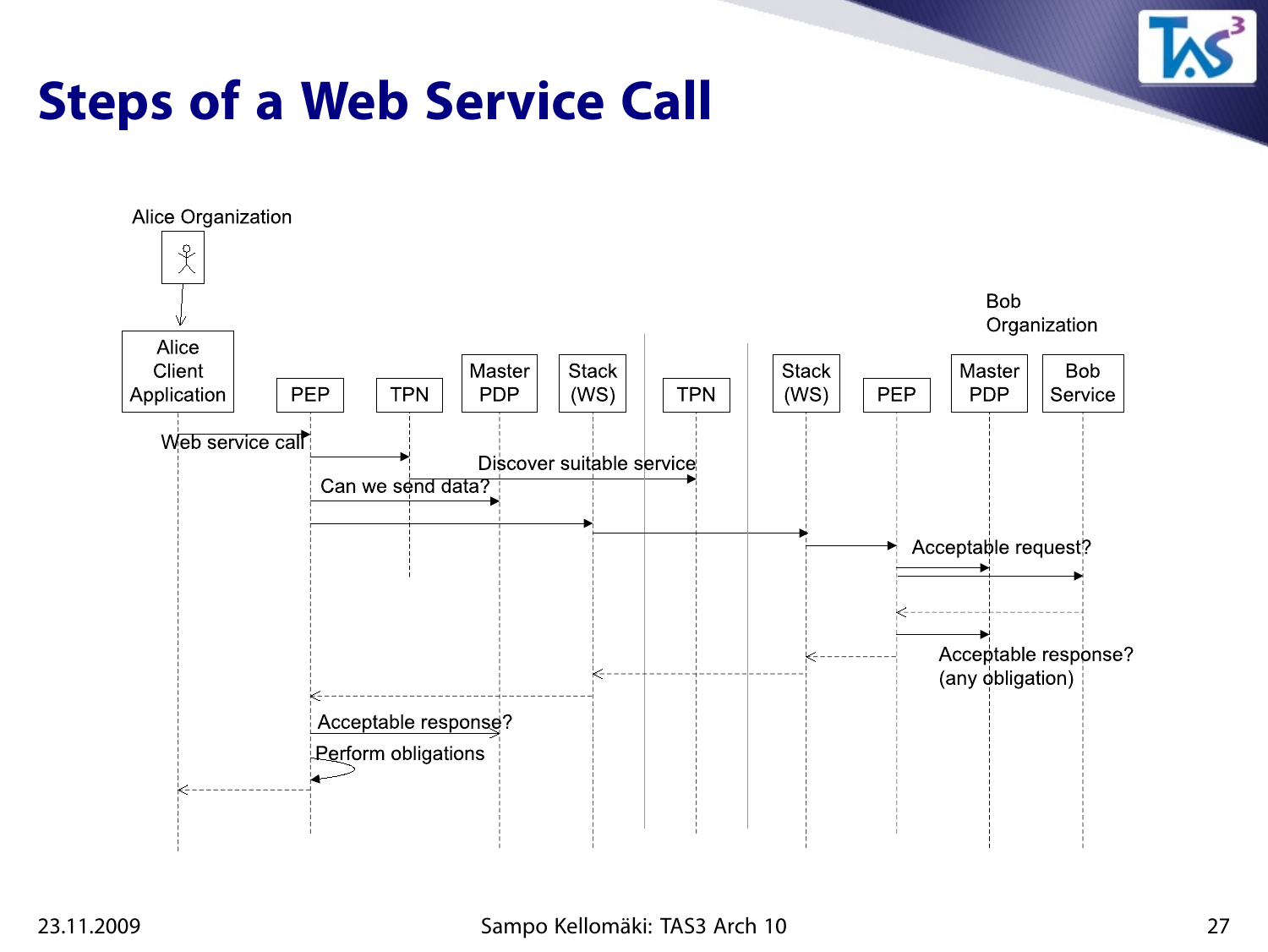

## **Steps of a Web Service Call**

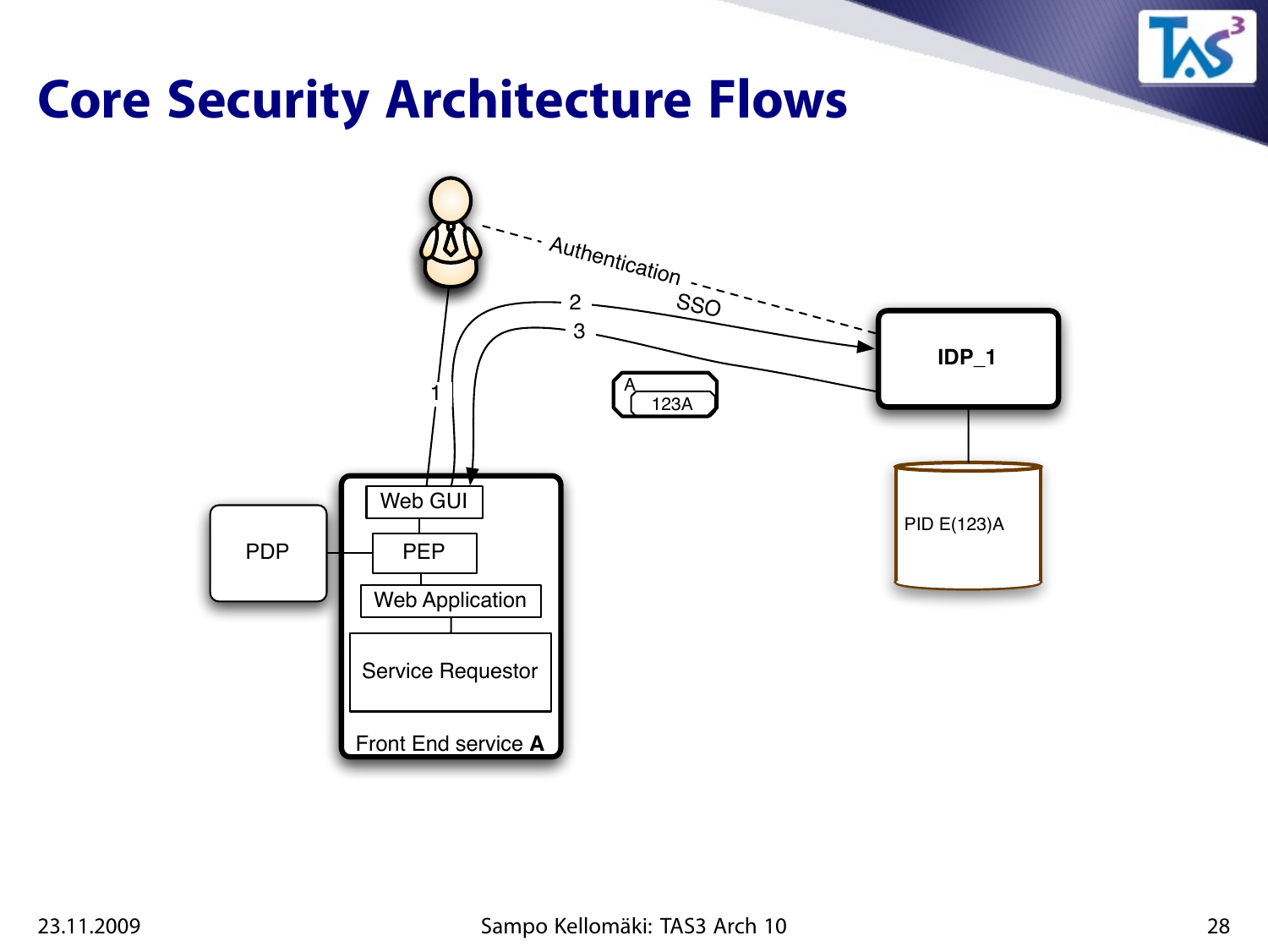

#### **Core Security Architecture Flows**

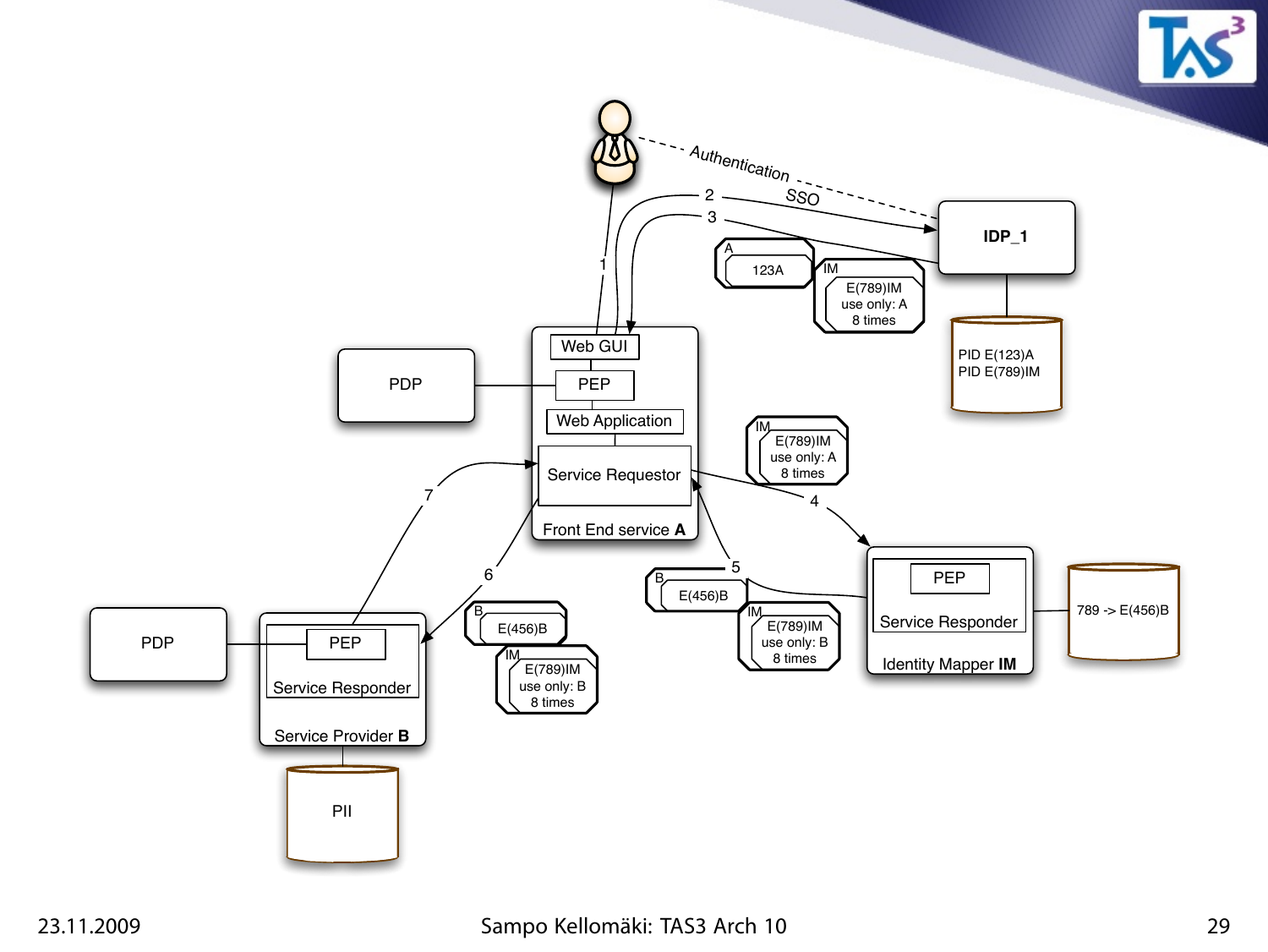

#### 23.11.2009 Sampo Kellomäki: TAS3 Arch 10 29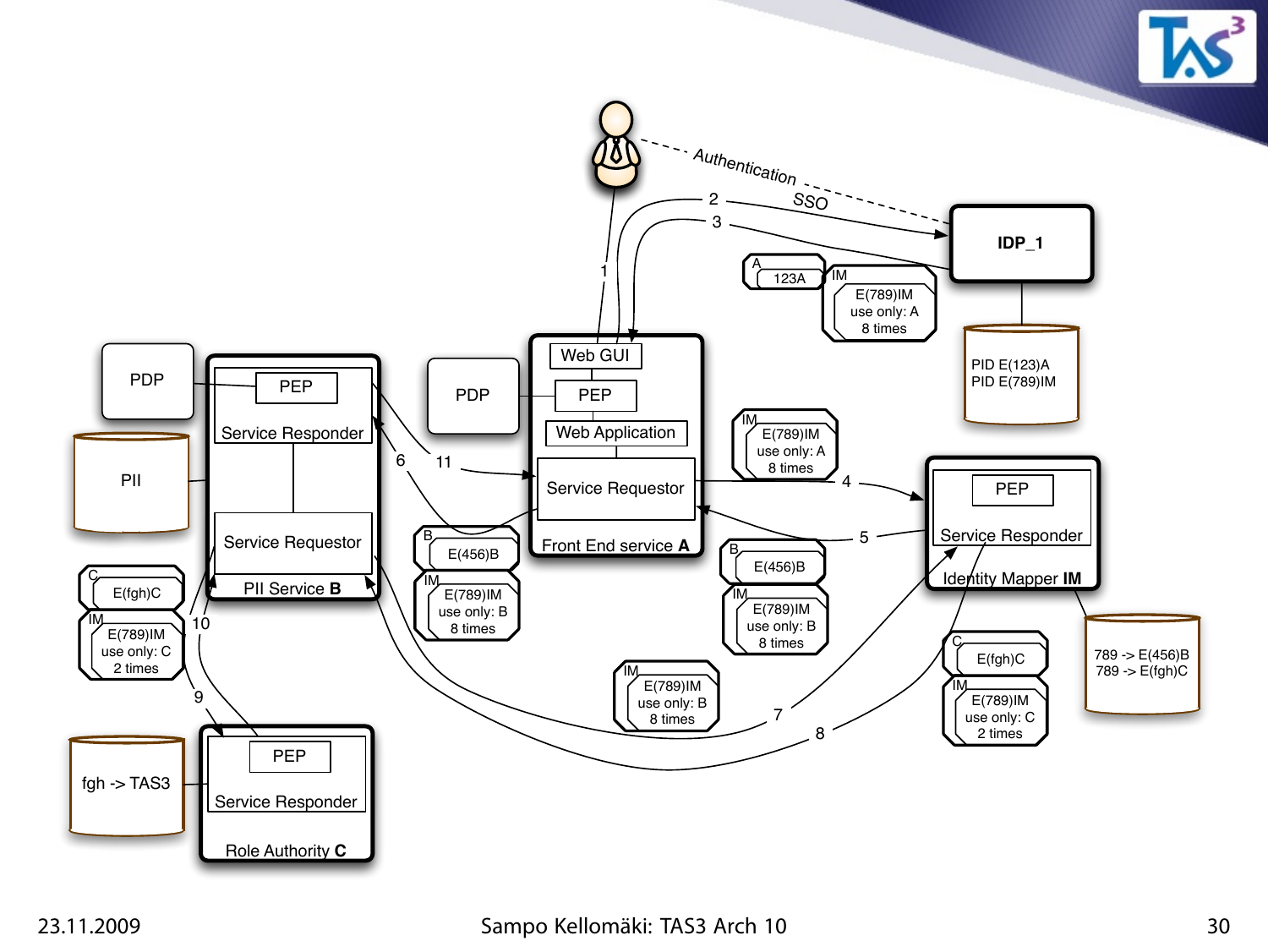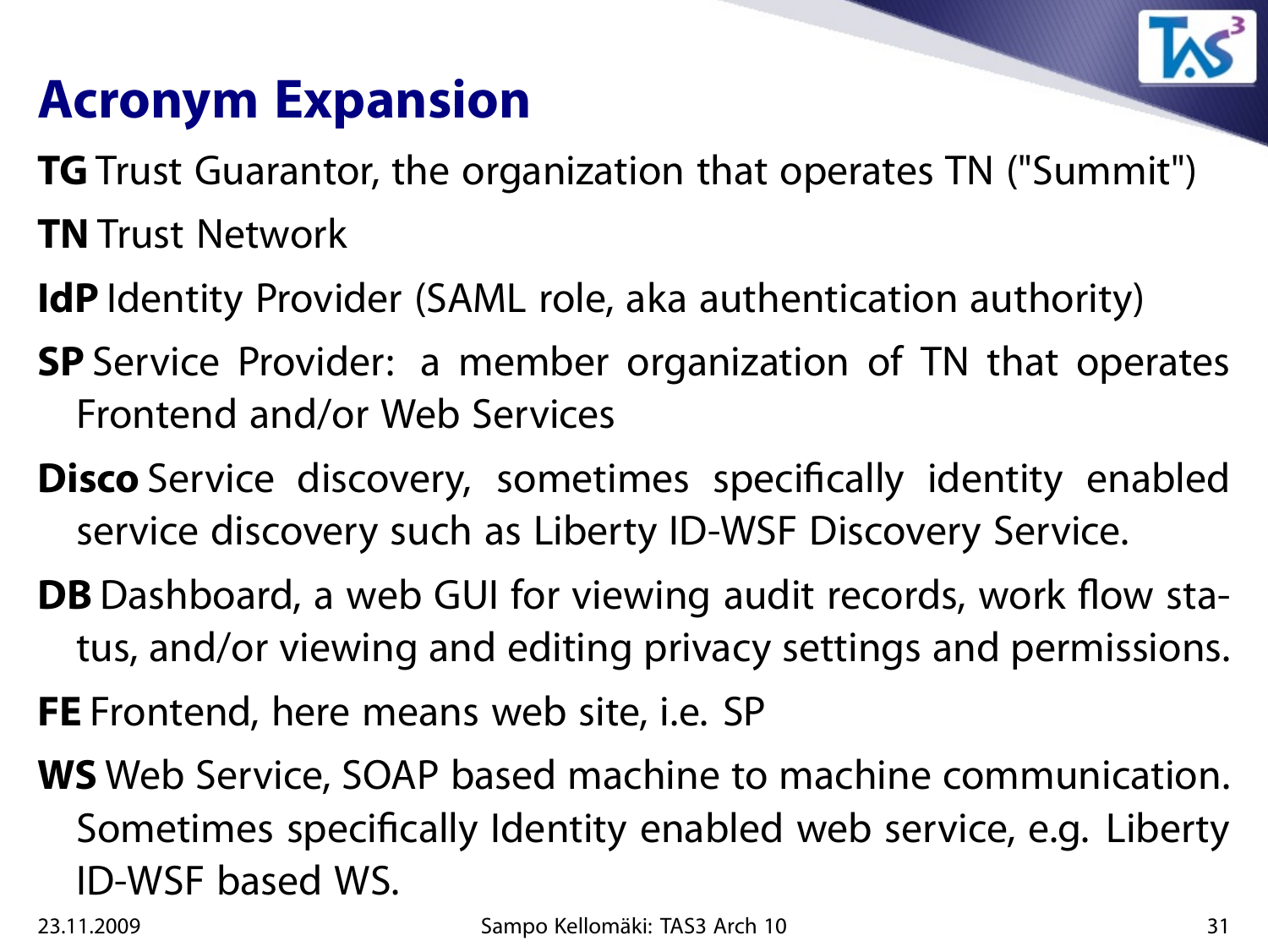

## **Acronym Expansion**

- **TG** Trust Guarantor, the organization that operates TN ("Summit")
- **TN** Trust Network
- **IdP** Identity Provider (SAML role, aka authentication authority)
- **SP** Service Provider: a member organization of TN that operates Frontend and/or Web Services
- **Disco** Service discovery, sometimes specifically identity enabled service discovery such as Liberty ID-WSF Discovery Service.
- **DB** Dashboard, a web GUI for viewing audit records, work flow status, and/or viewing and editing privacy settings and permissions.
- **FE** Frontend, here means web site, i.e. SP
- **WS** Web Service, SOAP based machine to machine communication. Sometimes specifically Identity enabled web service, e.g. Liberty ID-WSF based WS.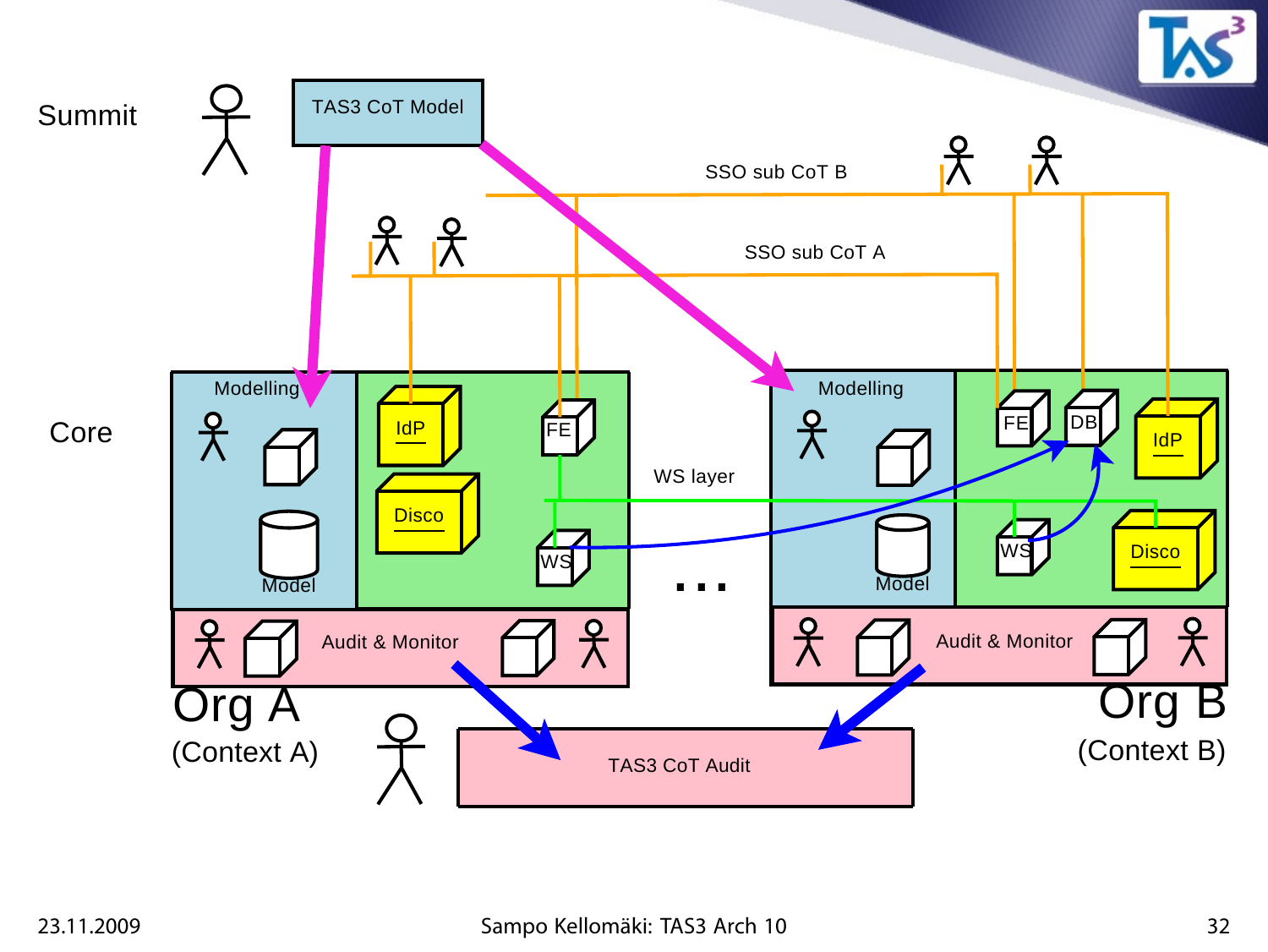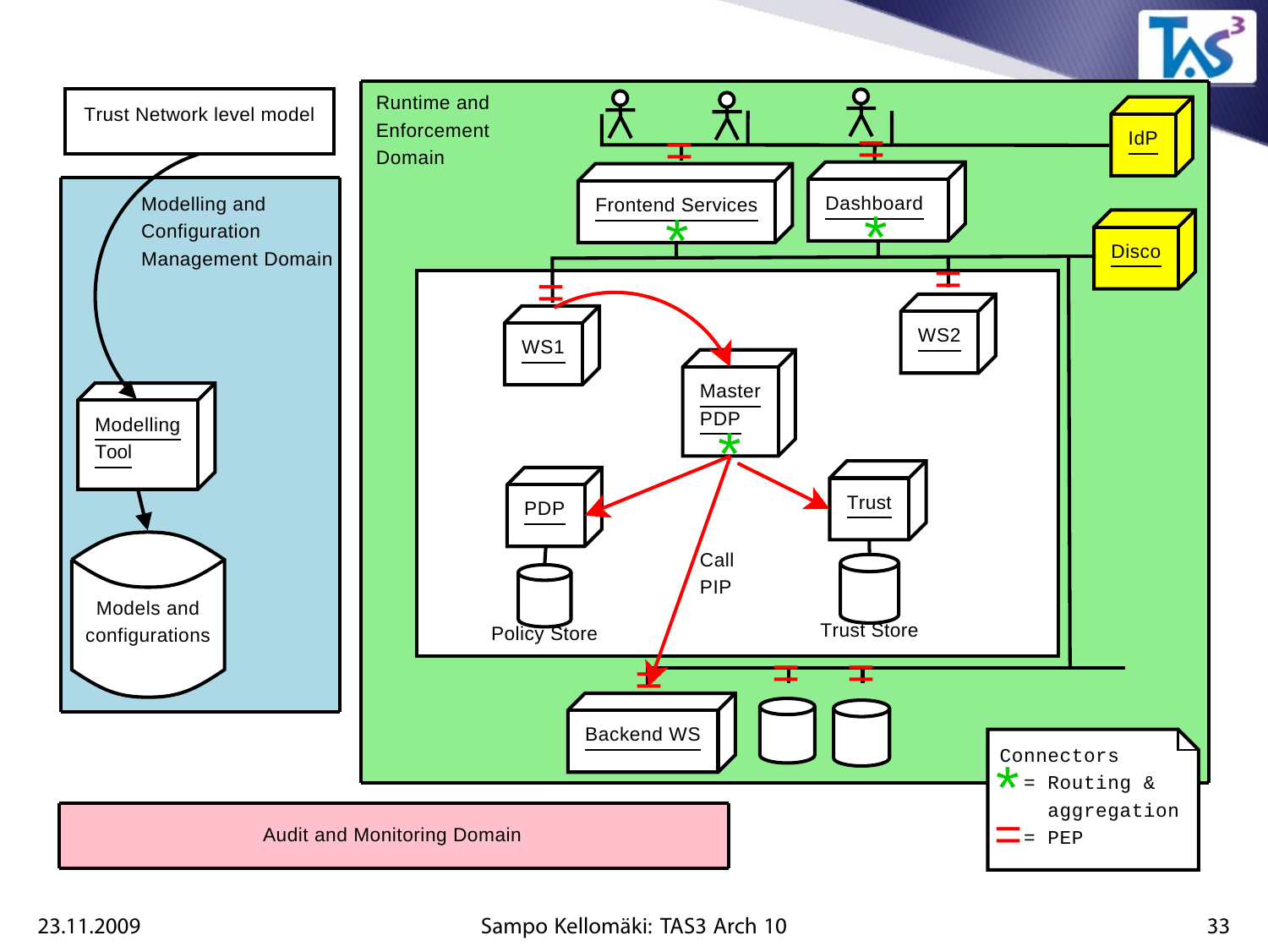

#### 23.11.2009 Sampo Kellomäki: TAS3 Arch 10 33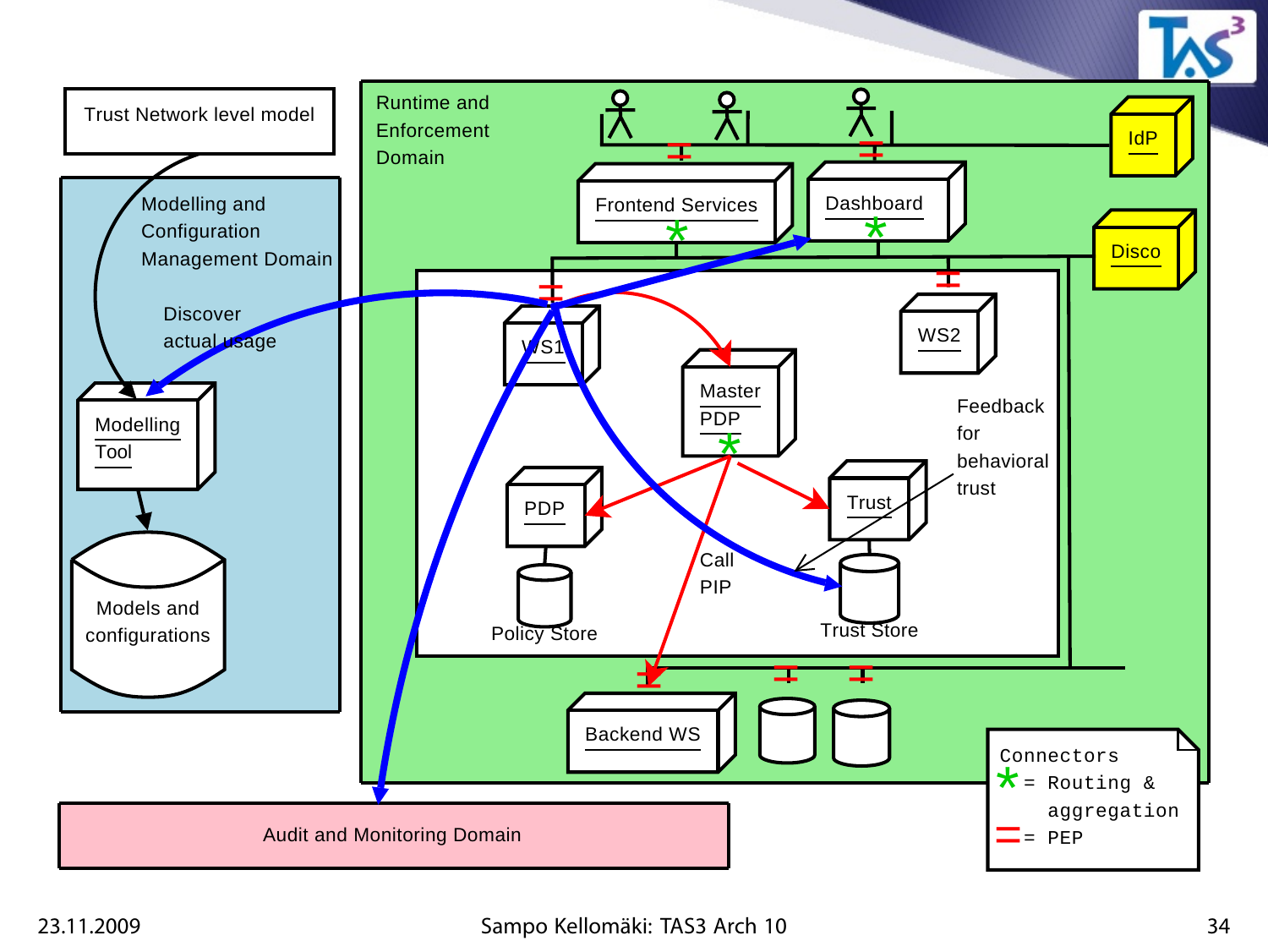